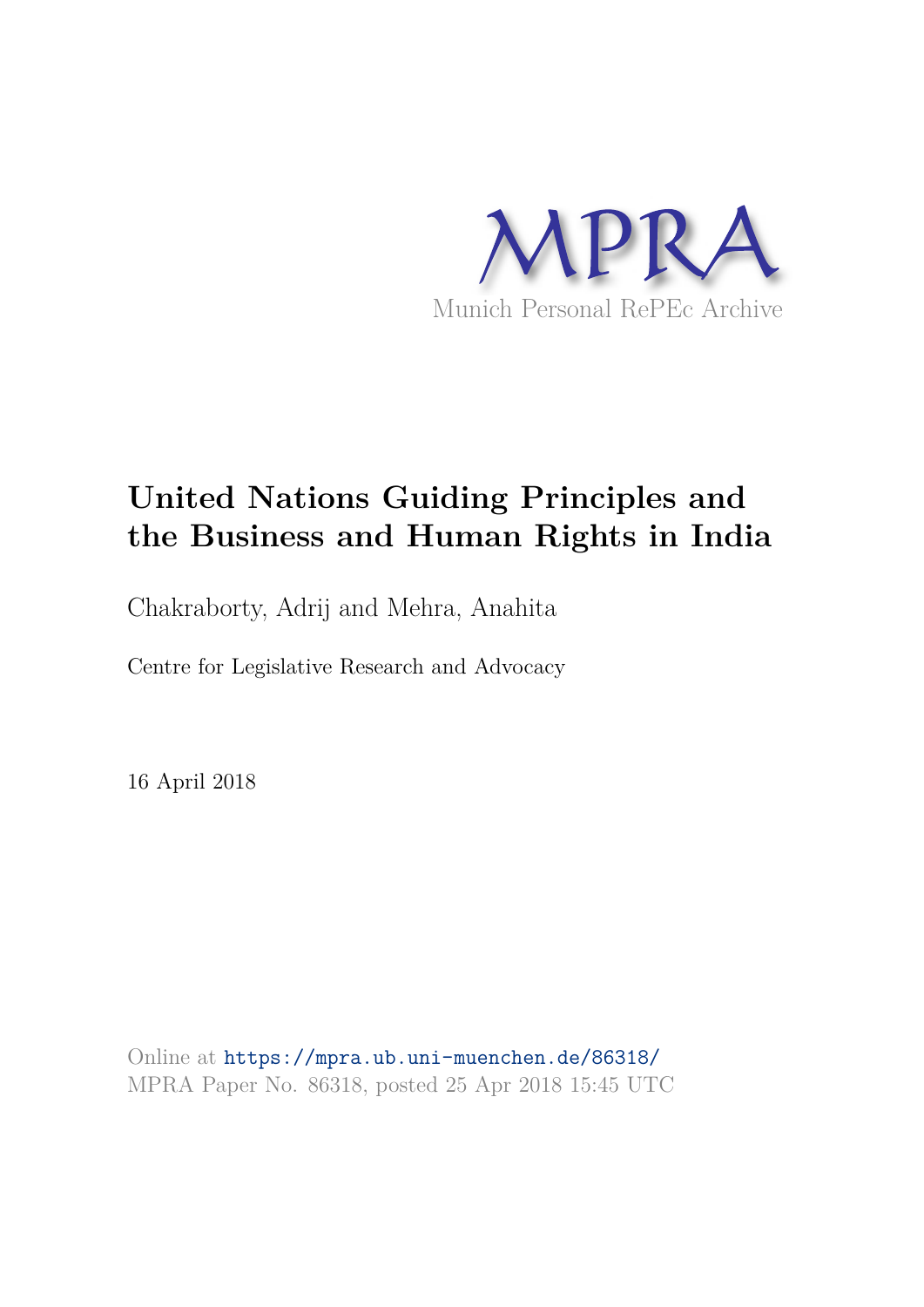

# **United Nations Guiding Principles and the Business and Human Rights in India**

Chakraborty, Adrij and Mehra, Anahita

Centre for Legislative Research and Advocacy

16 April 2018

Online at https://mpra.ub.uni-muenchen.de/86318/ MPRA Paper No. 86318, posted 25 Apr 2018 15:45 UTC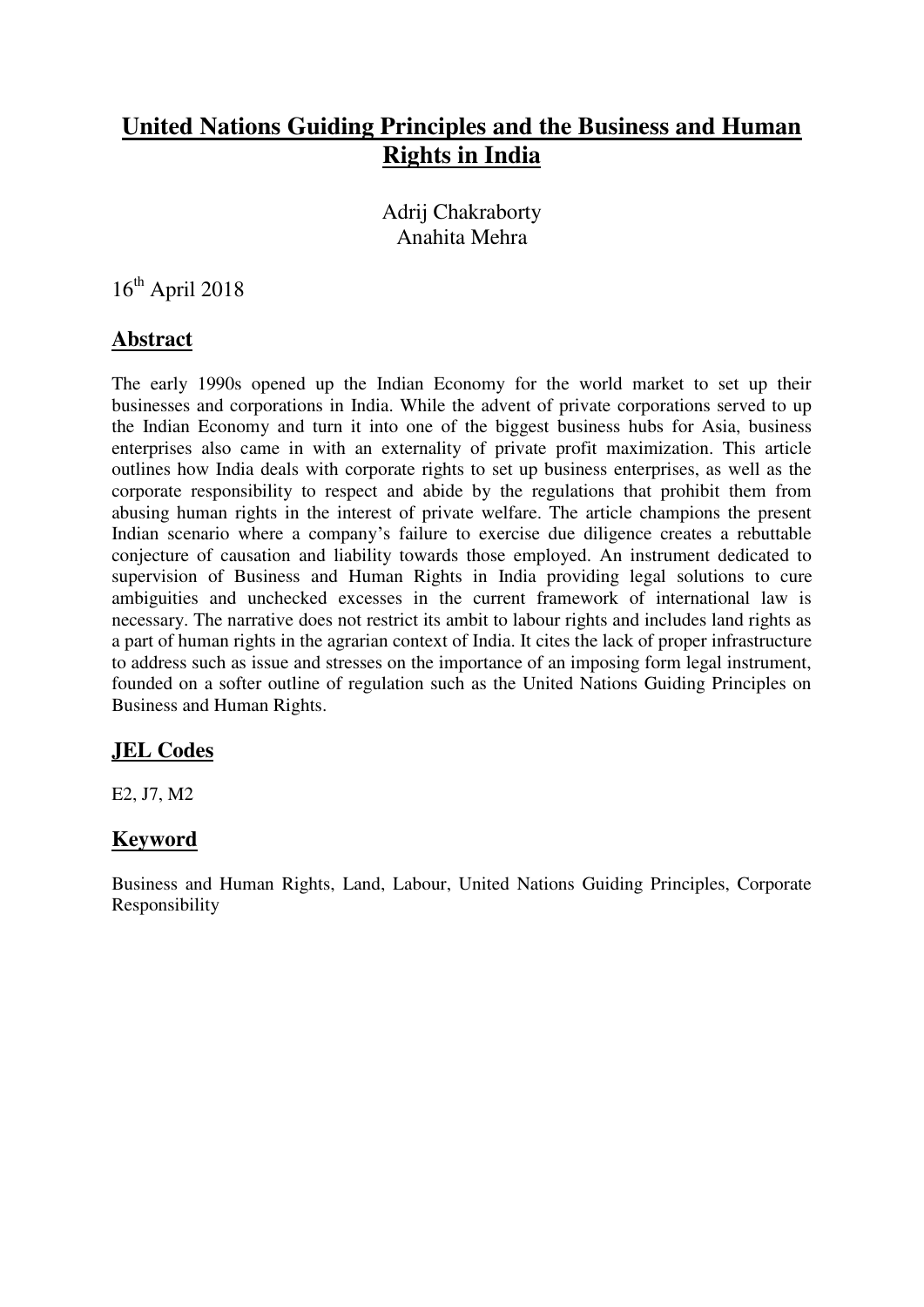# **United Nations Guiding Principles and the Business and Human Rights in India**

Adrij Chakraborty Anahita Mehra

 $16^{\text{th}}$  April 2018

# **Abstract**

The early 1990s opened up the Indian Economy for the world market to set up their businesses and corporations in India. While the advent of private corporations served to up the Indian Economy and turn it into one of the biggest business hubs for Asia, business enterprises also came in with an externality of private profit maximization. This article outlines how India deals with corporate rights to set up business enterprises, as well as the corporate responsibility to respect and abide by the regulations that prohibit them from abusing human rights in the interest of private welfare. The article champions the present Indian scenario where a company's failure to exercise due diligence creates a rebuttable conjecture of causation and liability towards those employed. An instrument dedicated to supervision of Business and Human Rights in India providing legal solutions to cure ambiguities and unchecked excesses in the current framework of international law is necessary. The narrative does not restrict its ambit to labour rights and includes land rights as a part of human rights in the agrarian context of India. It cites the lack of proper infrastructure to address such as issue and stresses on the importance of an imposing form legal instrument, founded on a softer outline of regulation such as the United Nations Guiding Principles on Business and Human Rights.

## **JEL Codes**

E2, J7, M2

# **Keyword**

Business and Human Rights, Land, Labour, United Nations Guiding Principles, Corporate Responsibility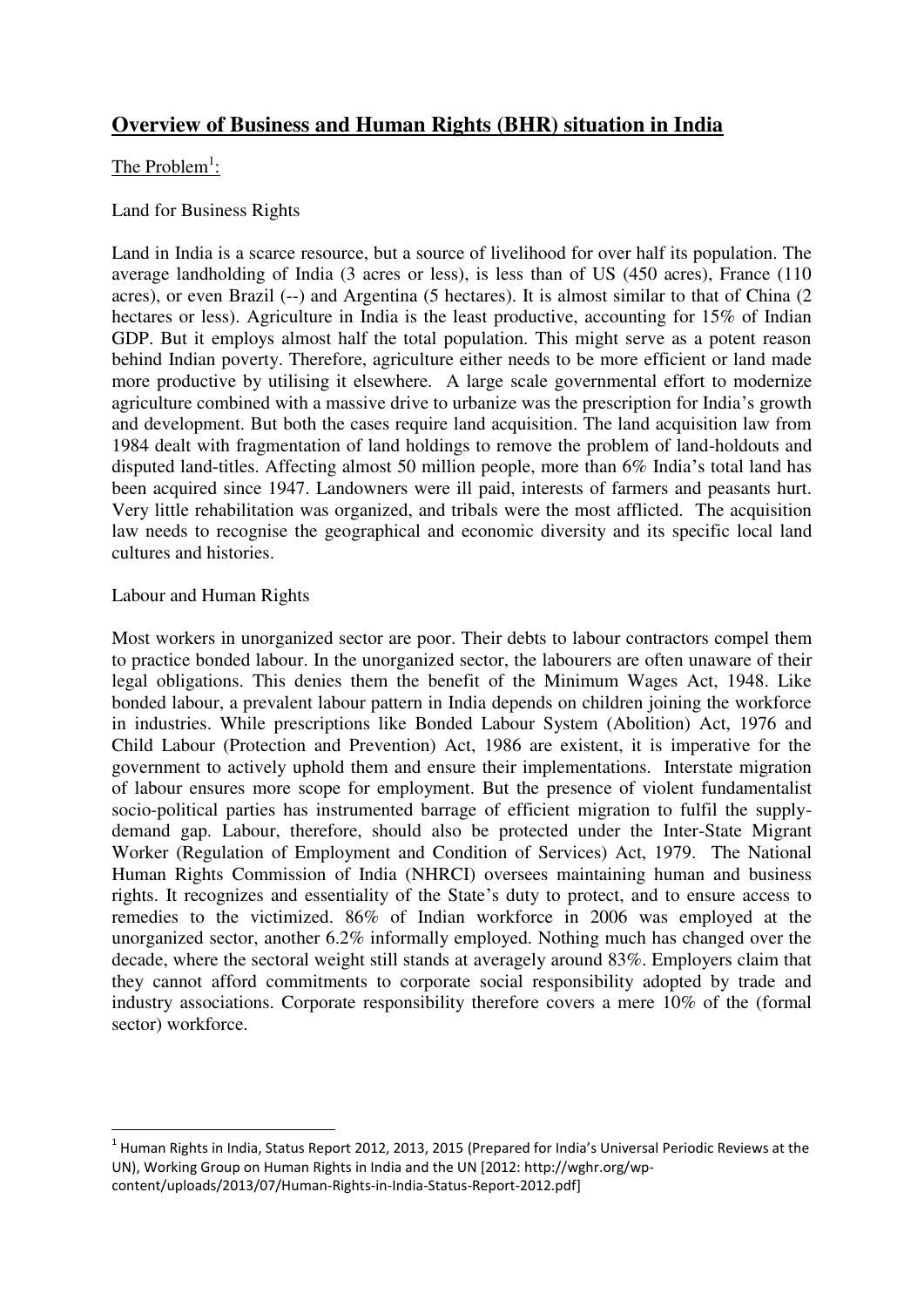# **Overview of Business and Human Rights (BHR) situation in India**

The Problem<sup>1</sup>:

Land for Business Rights

Land in India is a scarce resource, but a source of livelihood for over half its population. The average landholding of India (3 acres or less), is less than of US (450 acres), France (110 acres), or even Brazil (--) and Argentina (5 hectares). It is almost similar to that of China (2 hectares or less). Agriculture in India is the least productive, accounting for 15% of Indian GDP. But it employs almost half the total population. This might serve as a potent reason behind Indian poverty. Therefore, agriculture either needs to be more efficient or land made more productive by utilising it elsewhere. A large scale governmental effort to modernize agriculture combined with a massive drive to urbanize was the prescription for India's growth and development. But both the cases require land acquisition. The land acquisition law from 1984 dealt with fragmentation of land holdings to remove the problem of land-holdouts and disputed land-titles. Affecting almost 50 million people, more than 6% India's total land has been acquired since 1947. Landowners were ill paid, interests of farmers and peasants hurt. Very little rehabilitation was organized, and tribals were the most afflicted. The acquisition law needs to recognise the geographical and economic diversity and its specific local land cultures and histories.

#### Labour and Human Rights

-

Most workers in unorganized sector are poor. Their debts to labour contractors compel them to practice bonded labour. In the unorganized sector, the labourers are often unaware of their legal obligations. This denies them the benefit of the Minimum Wages Act, 1948. Like bonded labour, a prevalent labour pattern in India depends on children joining the workforce in industries. While prescriptions like Bonded Labour System (Abolition) Act, 1976 and Child Labour (Protection and Prevention) Act, 1986 are existent, it is imperative for the government to actively uphold them and ensure their implementations. Interstate migration of labour ensures more scope for employment. But the presence of violent fundamentalist socio-political parties has instrumented barrage of efficient migration to fulfil the supplydemand gap. Labour, therefore, should also be protected under the Inter-State Migrant Worker (Regulation of Employment and Condition of Services) Act, 1979. The National Human Rights Commission of India (NHRCI) oversees maintaining human and business rights. It recognizes and essentiality of the State's duty to protect, and to ensure access to remedies to the victimized. 86% of Indian workforce in 2006 was employed at the unorganized sector, another 6.2% informally employed. Nothing much has changed over the decade, where the sectoral weight still stands at averagely around 83%. Employers claim that they cannot afford commitments to corporate social responsibility adopted by trade and industry associations. Corporate responsibility therefore covers a mere 10% of the (formal sector) workforce.

<sup>&</sup>lt;sup>1</sup> Human Rights in India, Status Report 2012, 2013, 2015 (Prepared for India's Universal Periodic Reviews at the UN), Working Group on Human Rights in India and the UN [2012: http://wghr.org/wpcontent/uploads/2013/07/Human-Rights-in-India-Status-Report-2012.pdf]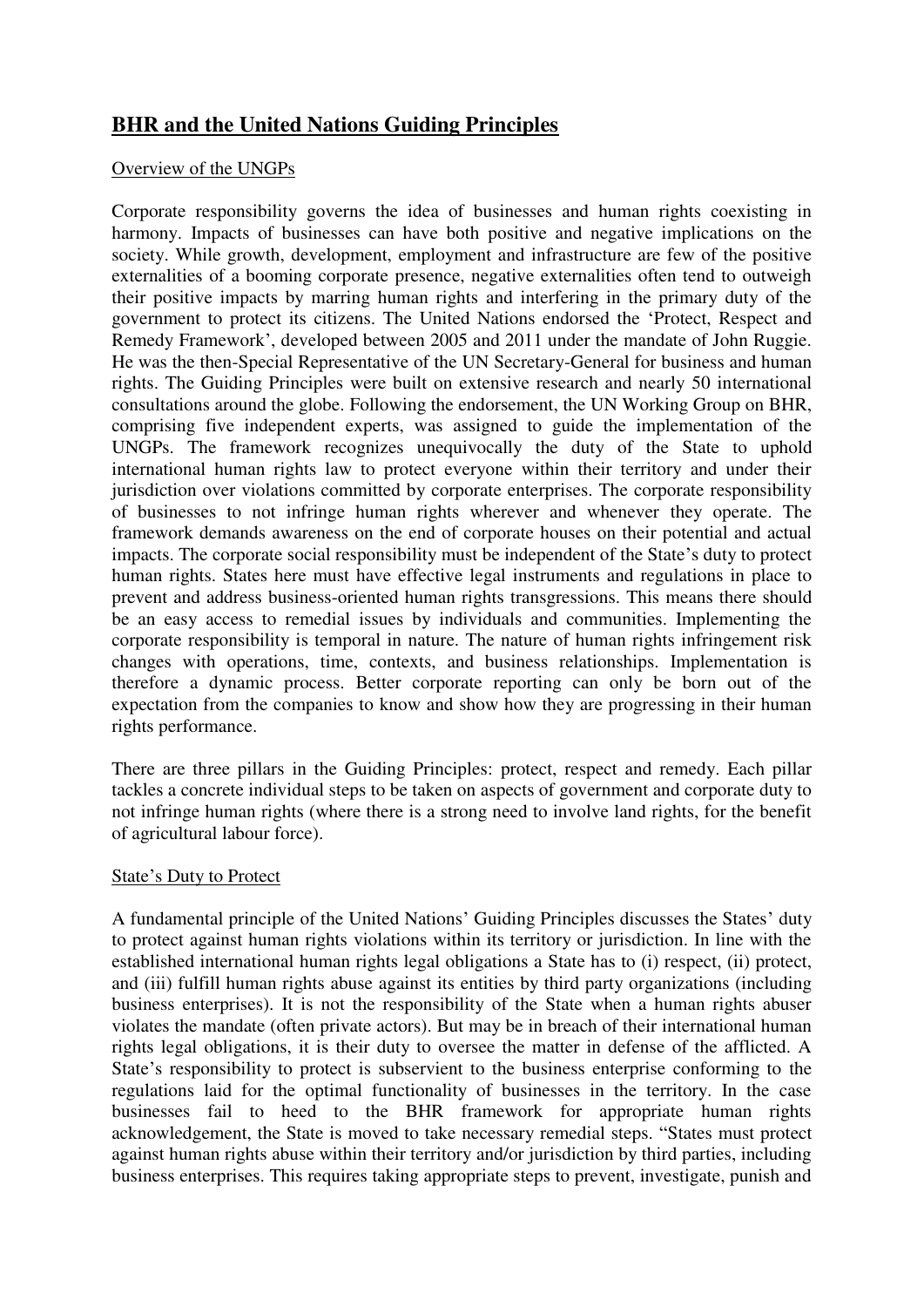# **BHR and the United Nations Guiding Principles**

#### Overview of the UNGPs

Corporate responsibility governs the idea of businesses and human rights coexisting in harmony. Impacts of businesses can have both positive and negative implications on the society. While growth, development, employment and infrastructure are few of the positive externalities of a booming corporate presence, negative externalities often tend to outweigh their positive impacts by marring human rights and interfering in the primary duty of the government to protect its citizens. The United Nations endorsed the 'Protect, Respect and Remedy Framework', developed between 2005 and 2011 under the mandate of John Ruggie. He was the then-Special Representative of the UN Secretary-General for business and human rights. The Guiding Principles were built on extensive research and nearly 50 international consultations around the globe. Following the endorsement, the UN Working Group on BHR, comprising five independent experts, was assigned to guide the implementation of the UNGPs. The framework recognizes unequivocally the duty of the State to uphold international human rights law to protect everyone within their territory and under their jurisdiction over violations committed by corporate enterprises. The corporate responsibility of businesses to not infringe human rights wherever and whenever they operate. The framework demands awareness on the end of corporate houses on their potential and actual impacts. The corporate social responsibility must be independent of the State's duty to protect human rights. States here must have effective legal instruments and regulations in place to prevent and address business-oriented human rights transgressions. This means there should be an easy access to remedial issues by individuals and communities. Implementing the corporate responsibility is temporal in nature. The nature of human rights infringement risk changes with operations, time, contexts, and business relationships. Implementation is therefore a dynamic process. Better corporate reporting can only be born out of the expectation from the companies to know and show how they are progressing in their human rights performance.

There are three pillars in the Guiding Principles: protect, respect and remedy. Each pillar tackles a concrete individual steps to be taken on aspects of government and corporate duty to not infringe human rights (where there is a strong need to involve land rights, for the benefit of agricultural labour force).

#### State's Duty to Protect

A fundamental principle of the United Nations' Guiding Principles discusses the States' duty to protect against human rights violations within its territory or jurisdiction. In line with the established international human rights legal obligations a State has to (i) respect, (ii) protect, and (iii) fulfill human rights abuse against its entities by third party organizations (including business enterprises). It is not the responsibility of the State when a human rights abuser violates the mandate (often private actors). But may be in breach of their international human rights legal obligations, it is their duty to oversee the matter in defense of the afflicted. A State's responsibility to protect is subservient to the business enterprise conforming to the regulations laid for the optimal functionality of businesses in the territory. In the case businesses fail to heed to the BHR framework for appropriate human rights acknowledgement, the State is moved to take necessary remedial steps. "States must protect against human rights abuse within their territory and/or jurisdiction by third parties, including business enterprises. This requires taking appropriate steps to prevent, investigate, punish and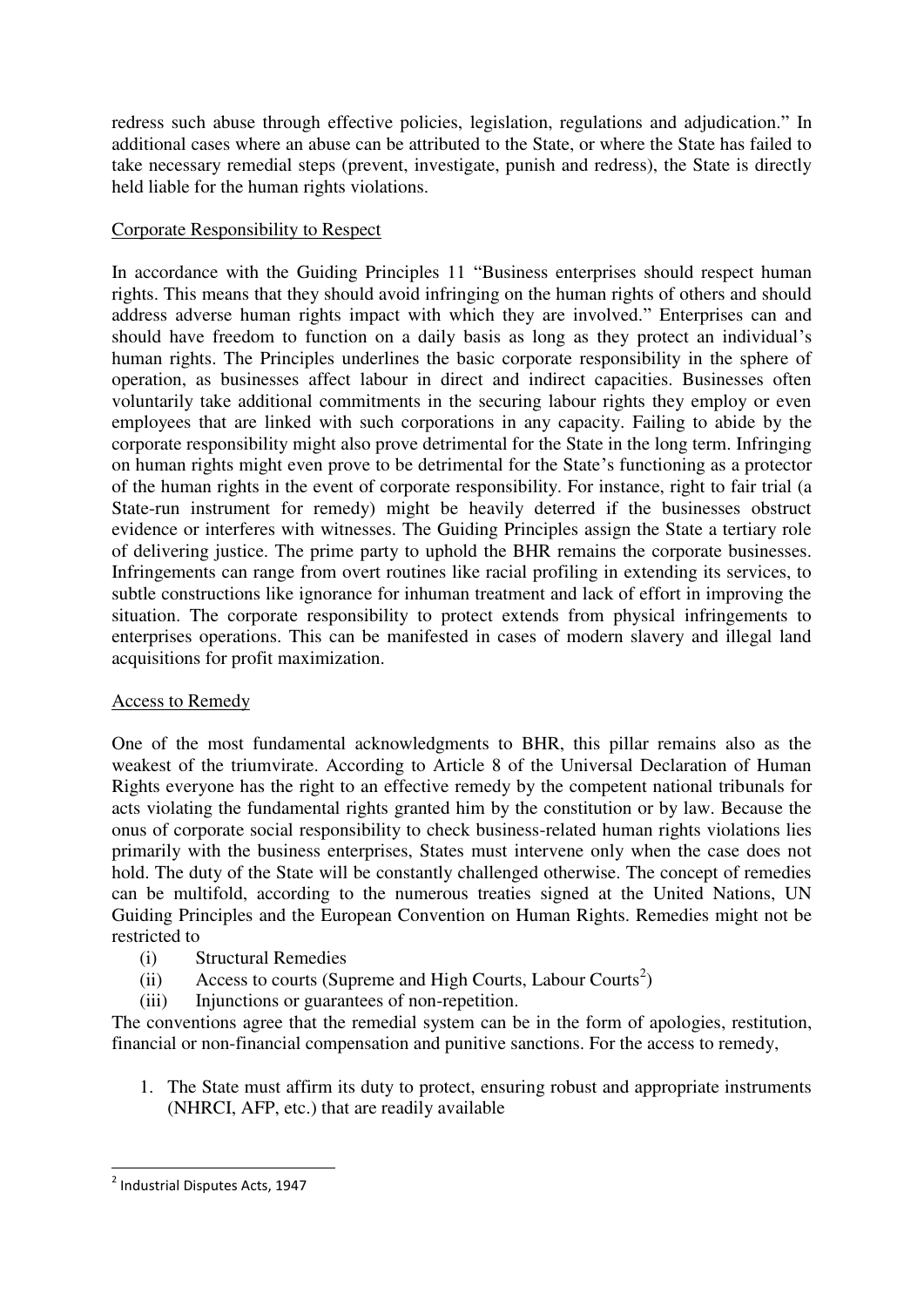redress such abuse through effective policies, legislation, regulations and adjudication." In additional cases where an abuse can be attributed to the State, or where the State has failed to take necessary remedial steps (prevent, investigate, punish and redress), the State is directly held liable for the human rights violations.

## Corporate Responsibility to Respect

In accordance with the Guiding Principles 11 "Business enterprises should respect human rights. This means that they should avoid infringing on the human rights of others and should address adverse human rights impact with which they are involved." Enterprises can and should have freedom to function on a daily basis as long as they protect an individual's human rights. The Principles underlines the basic corporate responsibility in the sphere of operation, as businesses affect labour in direct and indirect capacities. Businesses often voluntarily take additional commitments in the securing labour rights they employ or even employees that are linked with such corporations in any capacity. Failing to abide by the corporate responsibility might also prove detrimental for the State in the long term. Infringing on human rights might even prove to be detrimental for the State's functioning as a protector of the human rights in the event of corporate responsibility. For instance, right to fair trial (a State-run instrument for remedy) might be heavily deterred if the businesses obstruct evidence or interferes with witnesses. The Guiding Principles assign the State a tertiary role of delivering justice. The prime party to uphold the BHR remains the corporate businesses. Infringements can range from overt routines like racial profiling in extending its services, to subtle constructions like ignorance for inhuman treatment and lack of effort in improving the situation. The corporate responsibility to protect extends from physical infringements to enterprises operations. This can be manifested in cases of modern slavery and illegal land acquisitions for profit maximization.

## Access to Remedy

One of the most fundamental acknowledgments to BHR, this pillar remains also as the weakest of the triumvirate. According to Article 8 of the Universal Declaration of Human Rights everyone has the right to an effective remedy by the competent national tribunals for acts violating the fundamental rights granted him by the constitution or by law. Because the onus of corporate social responsibility to check business-related human rights violations lies primarily with the business enterprises, States must intervene only when the case does not hold. The duty of the State will be constantly challenged otherwise. The concept of remedies can be multifold, according to the numerous treaties signed at the United Nations, UN Guiding Principles and the European Convention on Human Rights. Remedies might not be restricted to

- (i) Structural Remedies
- (ii) Access to courts (Supreme and High Courts, Labour Courts<sup>2</sup>)
- (iii) Injunctions or guarantees of non-repetition.

The conventions agree that the remedial system can be in the form of apologies, restitution, financial or non-financial compensation and punitive sanctions. For the access to remedy,

1. The State must affirm its duty to protect, ensuring robust and appropriate instruments (NHRCI, AFP, etc.) that are readily available

-

<sup>&</sup>lt;sup>2</sup> Industrial Disputes Acts, 1947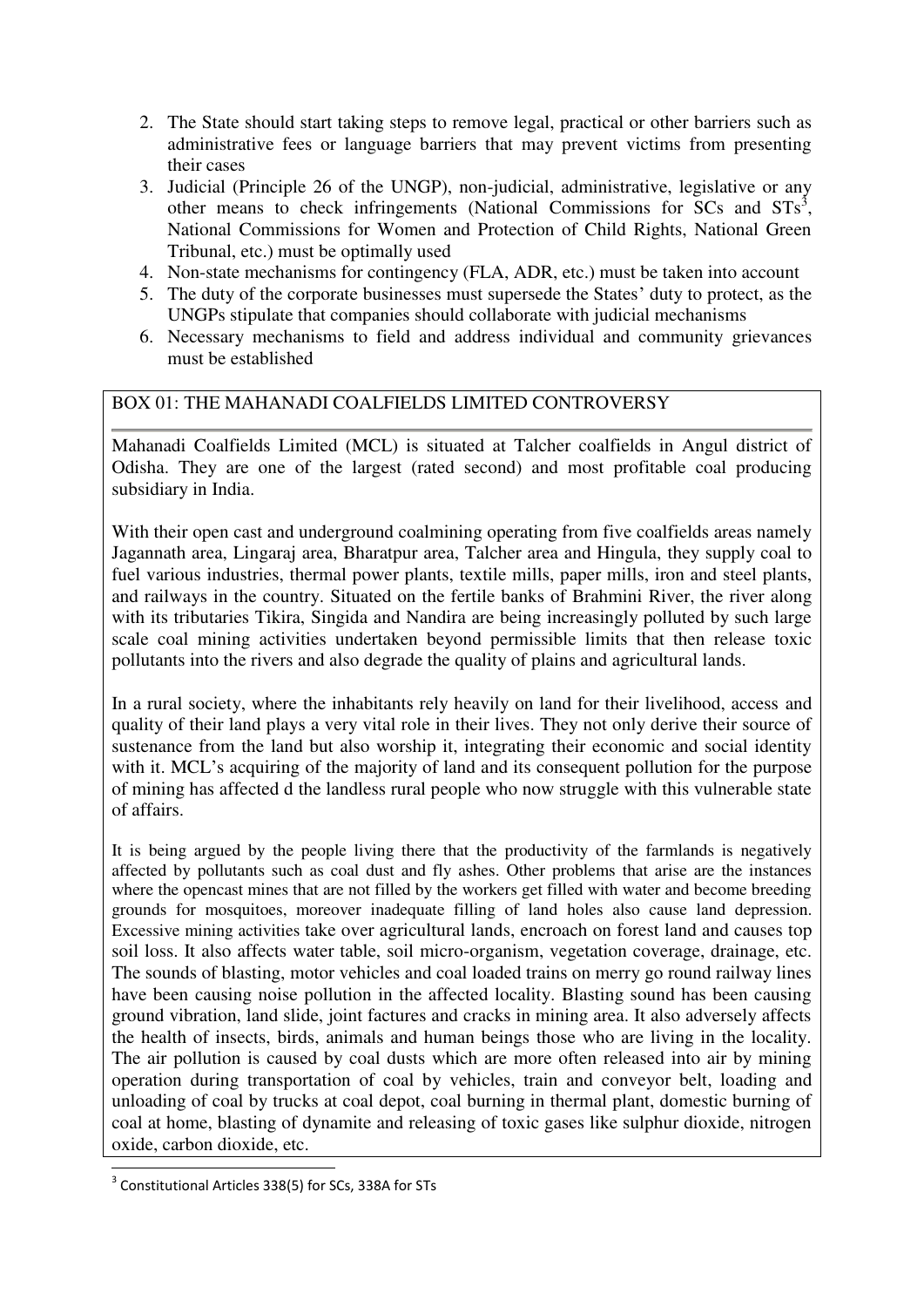- 2. The State should start taking steps to remove legal, practical or other barriers such as administrative fees or language barriers that may prevent victims from presenting their cases
- 3. Judicial (Principle 26 of the UNGP), non-judicial, administrative, legislative or any other means to check infringements (National Commissions for  $SCs$  and  $STs<sup>3</sup>$ , National Commissions for Women and Protection of Child Rights, National Green Tribunal, etc.) must be optimally used
- 4. Non-state mechanisms for contingency (FLA, ADR, etc.) must be taken into account
- 5. The duty of the corporate businesses must supersede the States' duty to protect, as the UNGPs stipulate that companies should collaborate with judicial mechanisms
- 6. Necessary mechanisms to field and address individual and community grievances must be established

## BOX 01: THE MAHANADI COALFIELDS LIMITED CONTROVERSY

Mahanadi Coalfields Limited (MCL) is situated at Talcher coalfields in Angul district of Odisha. They are one of the largest (rated second) and most profitable coal producing subsidiary in India.

With their open cast and underground coalmining operating from five coalfields areas namely Jagannath area, Lingaraj area, Bharatpur area, Talcher area and Hingula, they supply coal to fuel various industries, thermal power plants, textile mills, paper mills, iron and steel plants, and railways in the country. Situated on the fertile banks of Brahmini River, the river along with its tributaries Tikira, Singida and Nandira are being increasingly polluted by such large scale coal mining activities undertaken beyond permissible limits that then release toxic pollutants into the rivers and also degrade the quality of plains and agricultural lands.

In a rural society, where the inhabitants rely heavily on land for their livelihood, access and quality of their land plays a very vital role in their lives. They not only derive their source of sustenance from the land but also worship it, integrating their economic and social identity with it. MCL's acquiring of the majority of land and its consequent pollution for the purpose of mining has affected d the landless rural people who now struggle with this vulnerable state of affairs.

It is being argued by the people living there that the productivity of the farmlands is negatively affected by pollutants such as coal dust and fly ashes. Other problems that arise are the instances where the opencast mines that are not filled by the workers get filled with water and become breeding grounds for mosquitoes, moreover inadequate filling of land holes also cause land depression. Excessive mining activities take over agricultural lands, encroach on forest land and causes top soil loss. It also affects water table, soil micro-organism, vegetation coverage, drainage, etc. The sounds of blasting, motor vehicles and coal loaded trains on merry go round railway lines have been causing noise pollution in the affected locality. Blasting sound has been causing ground vibration, land slide, joint factures and cracks in mining area. It also adversely affects the health of insects, birds, animals and human beings those who are living in the locality. The air pollution is caused by coal dusts which are more often released into air by mining operation during transportation of coal by vehicles, train and conveyor belt, loading and unloading of coal by trucks at coal depot, coal burning in thermal plant, domestic burning of coal at home, blasting of dynamite and releasing of toxic gases like sulphur dioxide, nitrogen oxide, carbon dioxide, etc.

-

<sup>&</sup>lt;sup>3</sup> Constitutional Articles 338(5) for SCs, 338A for STs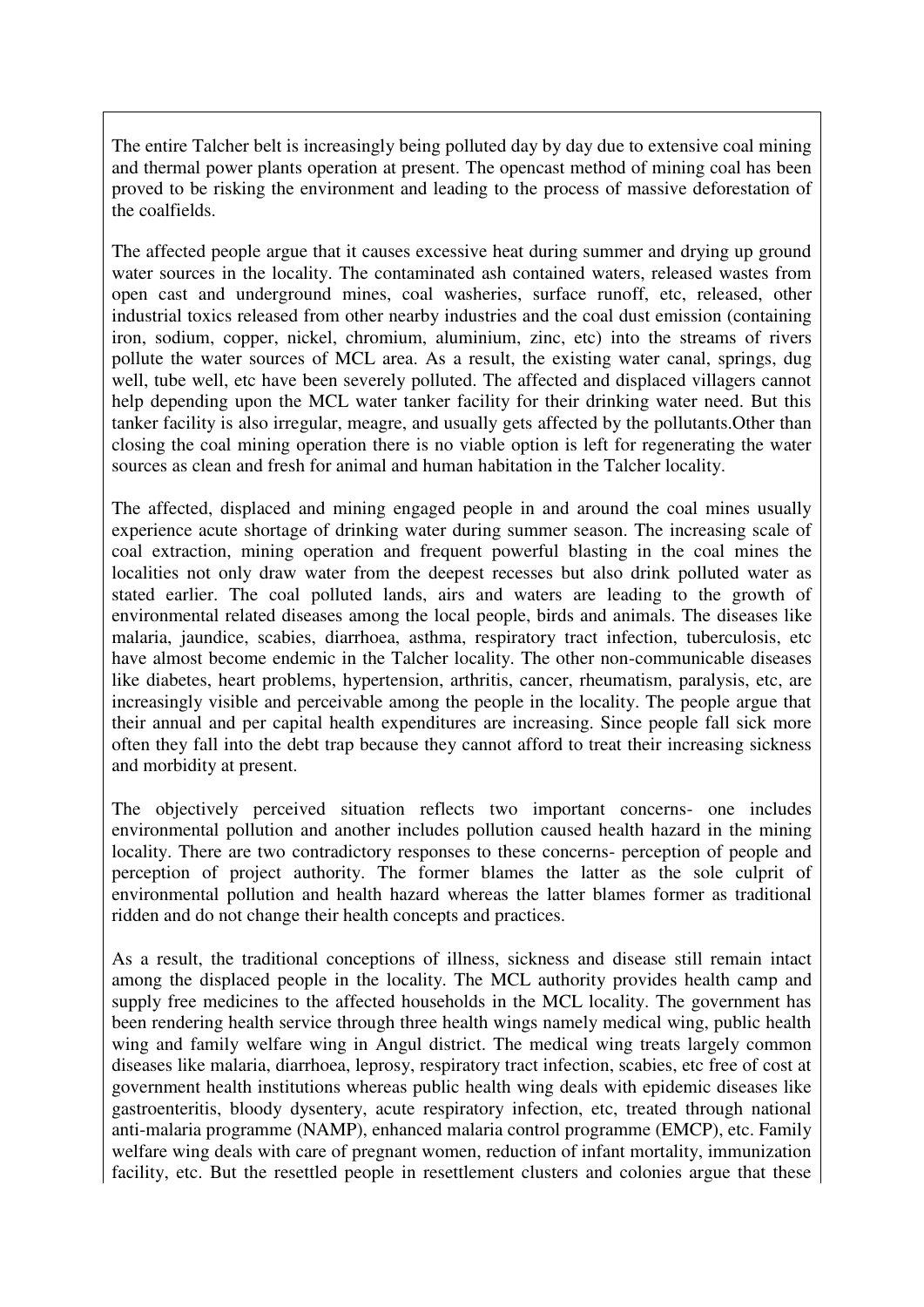The entire Talcher belt is increasingly being polluted day by day due to extensive coal mining and thermal power plants operation at present. The opencast method of mining coal has been proved to be risking the environment and leading to the process of massive deforestation of the coalfields.

The affected people argue that it causes excessive heat during summer and drying up ground water sources in the locality. The contaminated ash contained waters, released wastes from open cast and underground mines, coal washeries, surface runoff, etc, released, other industrial toxics released from other nearby industries and the coal dust emission (containing iron, sodium, copper, nickel, chromium, aluminium, zinc, etc) into the streams of rivers pollute the water sources of MCL area. As a result, the existing water canal, springs, dug well, tube well, etc have been severely polluted. The affected and displaced villagers cannot help depending upon the MCL water tanker facility for their drinking water need. But this tanker facility is also irregular, meagre, and usually gets affected by the pollutants.Other than closing the coal mining operation there is no viable option is left for regenerating the water sources as clean and fresh for animal and human habitation in the Talcher locality.

The affected, displaced and mining engaged people in and around the coal mines usually experience acute shortage of drinking water during summer season. The increasing scale of coal extraction, mining operation and frequent powerful blasting in the coal mines the localities not only draw water from the deepest recesses but also drink polluted water as stated earlier. The coal polluted lands, airs and waters are leading to the growth of environmental related diseases among the local people, birds and animals. The diseases like malaria, jaundice, scabies, diarrhoea, asthma, respiratory tract infection, tuberculosis, etc have almost become endemic in the Talcher locality. The other non-communicable diseases like diabetes, heart problems, hypertension, arthritis, cancer, rheumatism, paralysis, etc, are increasingly visible and perceivable among the people in the locality. The people argue that their annual and per capital health expenditures are increasing. Since people fall sick more often they fall into the debt trap because they cannot afford to treat their increasing sickness and morbidity at present.

The objectively perceived situation reflects two important concerns- one includes environmental pollution and another includes pollution caused health hazard in the mining locality. There are two contradictory responses to these concerns- perception of people and perception of project authority. The former blames the latter as the sole culprit of environmental pollution and health hazard whereas the latter blames former as traditional ridden and do not change their health concepts and practices.

As a result, the traditional conceptions of illness, sickness and disease still remain intact among the displaced people in the locality. The MCL authority provides health camp and supply free medicines to the affected households in the MCL locality. The government has been rendering health service through three health wings namely medical wing, public health wing and family welfare wing in Angul district. The medical wing treats largely common diseases like malaria, diarrhoea, leprosy, respiratory tract infection, scabies, etc free of cost at government health institutions whereas public health wing deals with epidemic diseases like gastroenteritis, bloody dysentery, acute respiratory infection, etc, treated through national anti-malaria programme (NAMP), enhanced malaria control programme (EMCP), etc. Family welfare wing deals with care of pregnant women, reduction of infant mortality, immunization facility, etc. But the resettled people in resettlement clusters and colonies argue that these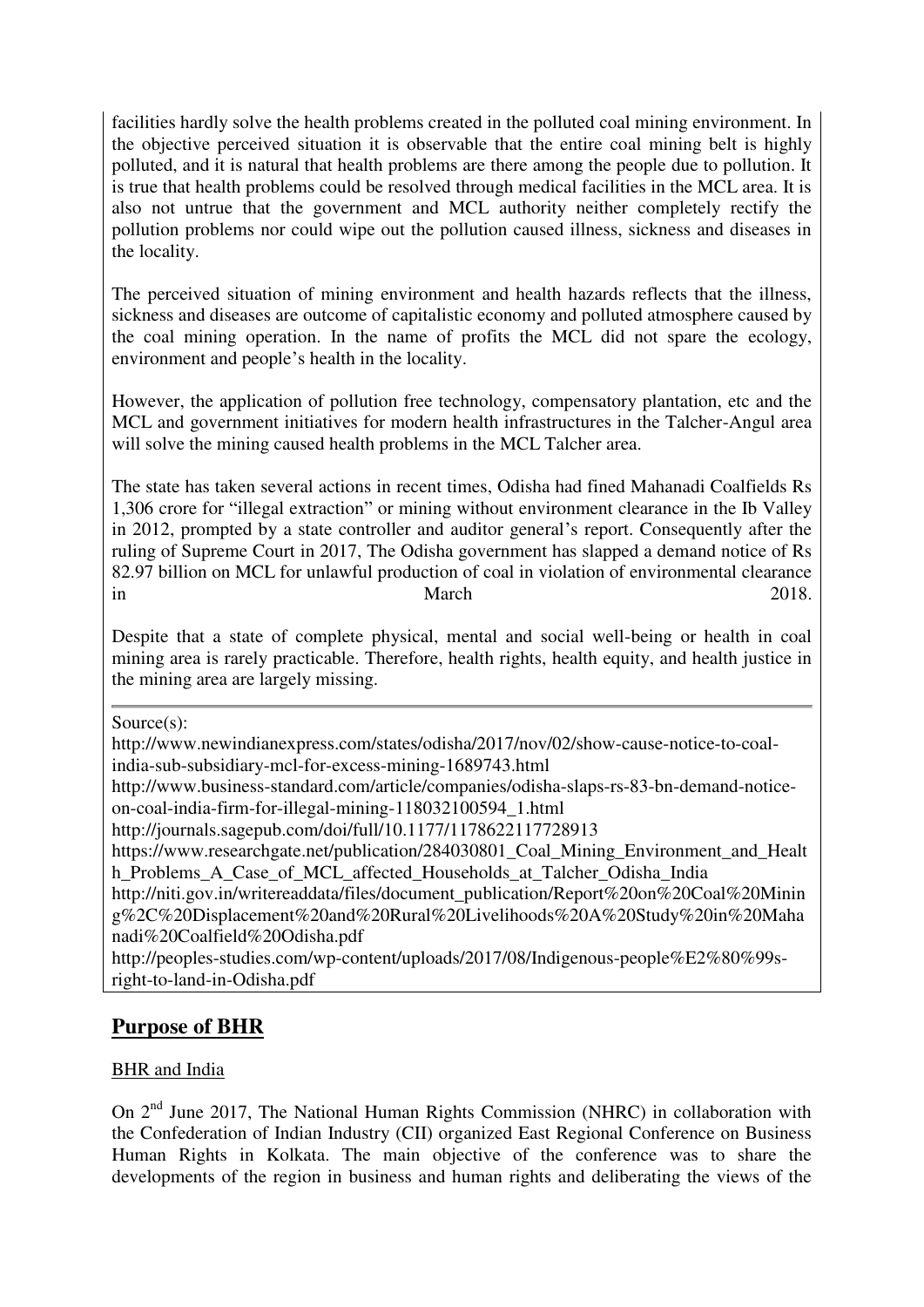facilities hardly solve the health problems created in the polluted coal mining environment. In the objective perceived situation it is observable that the entire coal mining belt is highly polluted, and it is natural that health problems are there among the people due to pollution. It is true that health problems could be resolved through medical facilities in the MCL area. It is also not untrue that the government and MCL authority neither completely rectify the pollution problems nor could wipe out the pollution caused illness, sickness and diseases in the locality.

The perceived situation of mining environment and health hazards reflects that the illness, sickness and diseases are outcome of capitalistic economy and polluted atmosphere caused by the coal mining operation. In the name of profits the MCL did not spare the ecology, environment and people's health in the locality.

However, the application of pollution free technology, compensatory plantation, etc and the MCL and government initiatives for modern health infrastructures in the Talcher-Angul area will solve the mining caused health problems in the MCL Talcher area.

The state has taken several actions in recent times, Odisha had fined Mahanadi Coalfields Rs 1,306 crore for "illegal extraction" or mining without environment clearance in the Ib Valley in 2012, prompted by a state controller and auditor general's report. Consequently after the ruling of Supreme Court in 2017, The Odisha government has slapped a demand notice of Rs 82.97 billion on MCL for unlawful production of coal in violation of environmental clearance in March 2018.

Despite that a state of complete physical, mental and social well-being or health in coal mining area is rarely practicable. Therefore, health rights, health equity, and health justice in the mining area are largely missing.

Source(s):

http://www.newindianexpress.com/states/odisha/2017/nov/02/show-cause-notice-to-coalindia-sub-subsidiary-mcl-for-excess-mining-1689743.html

http://www.business-standard.com/article/companies/odisha-slaps-rs-83-bn-demand-noticeon-coal-india-firm-for-illegal-mining-118032100594\_1.html

http://journals.sagepub.com/doi/full/10.1177/1178622117728913

https://www.researchgate.net/publication/284030801\_Coal\_Mining\_Environment\_and\_Healt h\_Problems\_A\_Case\_of\_MCL\_affected\_Households\_at\_Talcher\_Odisha\_India

http://niti.gov.in/writereaddata/files/document\_publication/Report%20on%20Coal%20Minin g%2C%20Displacement%20and%20Rural%20Livelihoods%20A%20Study%20in%20Maha nadi%20Coalfield%20Odisha.pdf

http://peoples-studies.com/wp-content/uploads/2017/08/Indigenous-people%E2%80%99sright-to-land-in-Odisha.pdf

# **Purpose of BHR**

## BHR and India

On 2<sup>nd</sup> June 2017, The National Human Rights Commission (NHRC) in collaboration with the Confederation of Indian Industry (CII) organized East Regional Conference on Business Human Rights in Kolkata. The main objective of the conference was to share the developments of the region in business and human rights and deliberating the views of the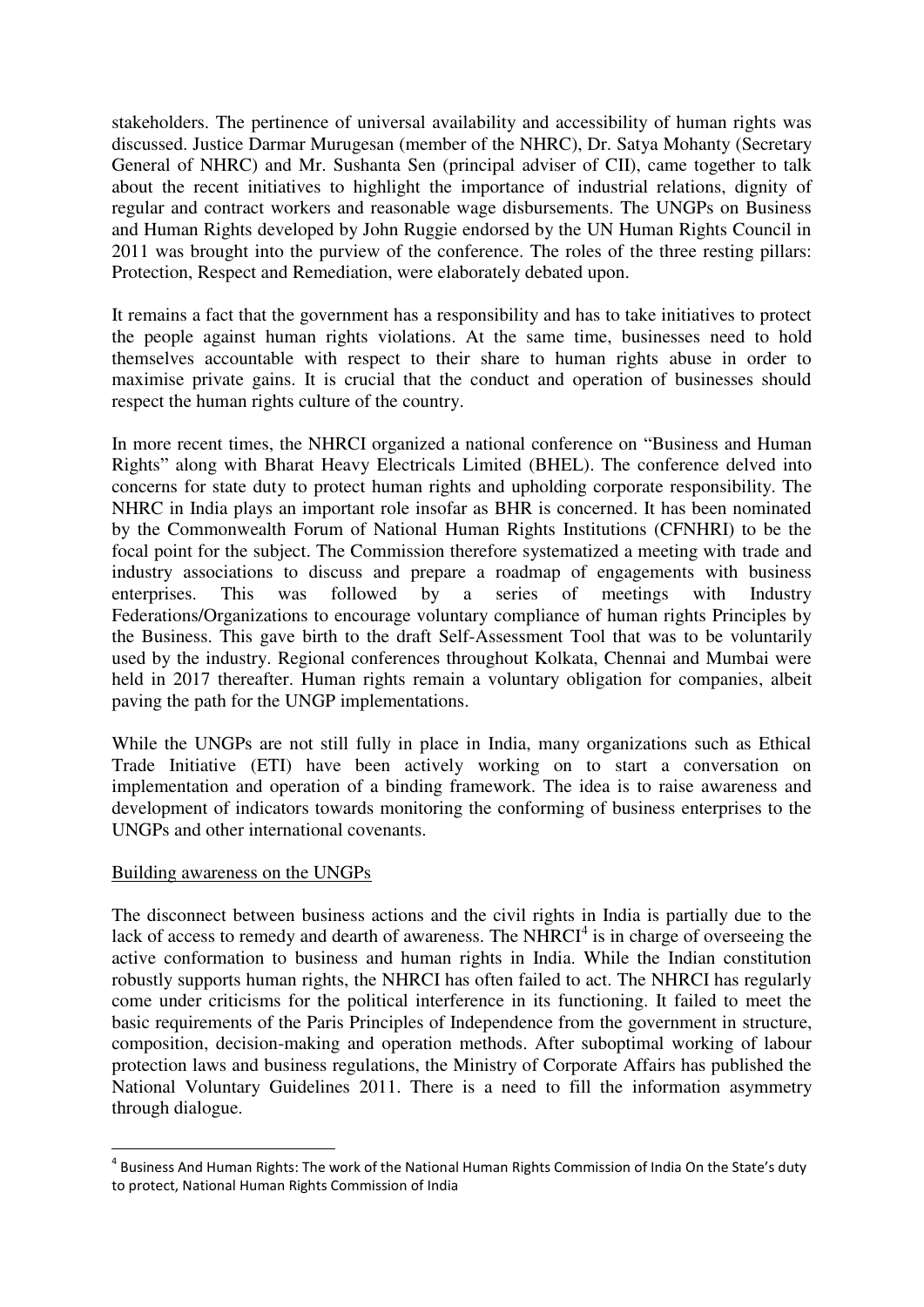stakeholders. The pertinence of universal availability and accessibility of human rights was discussed. Justice Darmar Murugesan (member of the NHRC), Dr. Satya Mohanty (Secretary General of NHRC) and Mr. Sushanta Sen (principal adviser of CII), came together to talk about the recent initiatives to highlight the importance of industrial relations, dignity of regular and contract workers and reasonable wage disbursements. The UNGPs on Business and Human Rights developed by John Ruggie endorsed by the UN Human Rights Council in 2011 was brought into the purview of the conference. The roles of the three resting pillars: Protection, Respect and Remediation, were elaborately debated upon.

It remains a fact that the government has a responsibility and has to take initiatives to protect the people against human rights violations. At the same time, businesses need to hold themselves accountable with respect to their share to human rights abuse in order to maximise private gains. It is crucial that the conduct and operation of businesses should respect the human rights culture of the country.

In more recent times, the NHRCI organized a national conference on "Business and Human Rights" along with Bharat Heavy Electricals Limited (BHEL). The conference delved into concerns for state duty to protect human rights and upholding corporate responsibility. The NHRC in India plays an important role insofar as BHR is concerned. It has been nominated by the Commonwealth Forum of National Human Rights Institutions (CFNHRI) to be the focal point for the subject. The Commission therefore systematized a meeting with trade and industry associations to discuss and prepare a roadmap of engagements with business enterprises. This was followed by a series of meetings with Industry Federations/Organizations to encourage voluntary compliance of human rights Principles by the Business. This gave birth to the draft Self-Assessment Tool that was to be voluntarily used by the industry. Regional conferences throughout Kolkata, Chennai and Mumbai were held in 2017 thereafter. Human rights remain a voluntary obligation for companies, albeit paving the path for the UNGP implementations.

While the UNGPs are not still fully in place in India, many organizations such as Ethical Trade Initiative (ETI) have been actively working on to start a conversation on implementation and operation of a binding framework. The idea is to raise awareness and development of indicators towards monitoring the conforming of business enterprises to the UNGPs and other international covenants.

#### Building awareness on the UNGPs

-

The disconnect between business actions and the civil rights in India is partially due to the lack of access to remedy and dearth of awareness. The NHRCI $<sup>4</sup>$  is in charge of overseeing the</sup> active conformation to business and human rights in India. While the Indian constitution robustly supports human rights, the NHRCI has often failed to act. The NHRCI has regularly come under criticisms for the political interference in its functioning. It failed to meet the basic requirements of the Paris Principles of Independence from the government in structure, composition, decision-making and operation methods. After suboptimal working of labour protection laws and business regulations, the Ministry of Corporate Affairs has published the National Voluntary Guidelines 2011. There is a need to fill the information asymmetry through dialogue.

 $^4$  Business And Human Rights: The work of the National Human Rights Commission of India On the State's duty to protect, National Human Rights Commission of India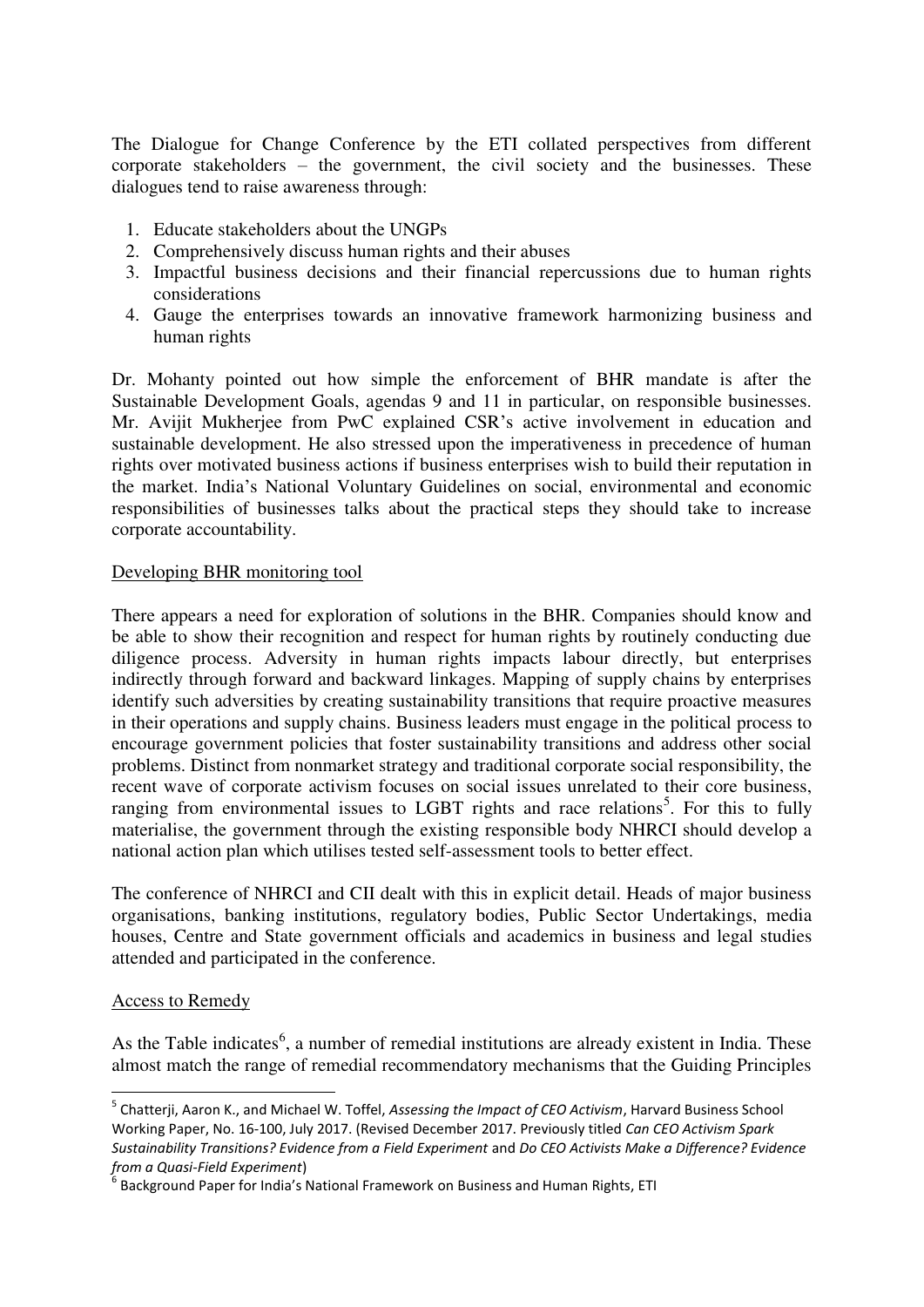The Dialogue for Change Conference by the ETI collated perspectives from different corporate stakeholders – the government, the civil society and the businesses. These dialogues tend to raise awareness through:

- 1. Educate stakeholders about the UNGPs
- 2. Comprehensively discuss human rights and their abuses
- 3. Impactful business decisions and their financial repercussions due to human rights considerations
- 4. Gauge the enterprises towards an innovative framework harmonizing business and human rights

Dr. Mohanty pointed out how simple the enforcement of BHR mandate is after the Sustainable Development Goals, agendas 9 and 11 in particular, on responsible businesses. Mr. Avijit Mukherjee from PwC explained CSR's active involvement in education and sustainable development. He also stressed upon the imperativeness in precedence of human rights over motivated business actions if business enterprises wish to build their reputation in the market. India's National Voluntary Guidelines on social, environmental and economic responsibilities of businesses talks about the practical steps they should take to increase corporate accountability.

#### Developing BHR monitoring tool

There appears a need for exploration of solutions in the BHR. Companies should know and be able to show their recognition and respect for human rights by routinely conducting due diligence process. Adversity in human rights impacts labour directly, but enterprises indirectly through forward and backward linkages. Mapping of supply chains by enterprises identify such adversities by creating sustainability transitions that require proactive measures in their operations and supply chains. Business leaders must engage in the political process to encourage government policies that foster sustainability transitions and address other social problems. Distinct from nonmarket strategy and traditional corporate social responsibility, the recent wave of corporate activism focuses on social issues unrelated to their core business, ranging from environmental issues to LGBT rights and race relations<sup>5</sup>. For this to fully materialise, the government through the existing responsible body NHRCI should develop a national action plan which utilises tested self-assessment tools to better effect.

The conference of NHRCI and CII dealt with this in explicit detail. Heads of major business organisations, banking institutions, regulatory bodies, Public Sector Undertakings, media houses, Centre and State government officials and academics in business and legal studies attended and participated in the conference.

#### Access to Remedy

<u>.</u>

As the Table indicates<sup>6</sup>, a number of remedial institutions are already existent in India. These almost match the range of remedial recommendatory mechanisms that the Guiding Principles

<sup>5</sup> Chatterji, Aaron K., and Michael W. Toffel, *Assessing the Impact of CEO Activism*, Harvard Business School Working Paper, No. 16-100, July 2017. (Revised December 2017. Previously titled *Can CEO Activism Spark Sustainability Transitions? Evidence from a Field Experiment* and *Do CEO Activists Make a Difference? Evidence from a Quasi-Field Experiment*)

 $^6$  Background Paper for India's National Framework on Business and Human Rights, ETI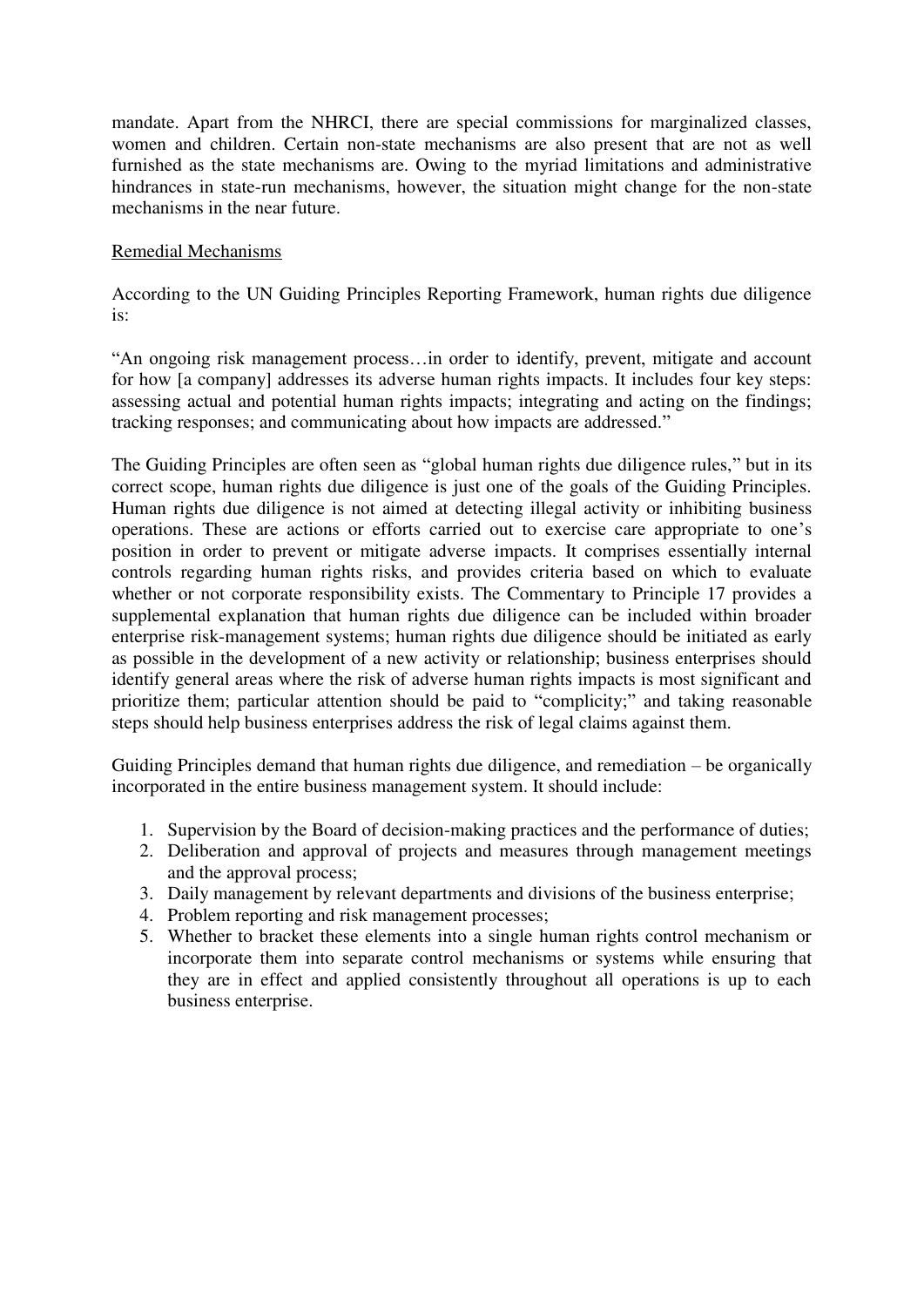mandate. Apart from the NHRCI, there are special commissions for marginalized classes, women and children. Certain non-state mechanisms are also present that are not as well furnished as the state mechanisms are. Owing to the myriad limitations and administrative hindrances in state-run mechanisms, however, the situation might change for the non-state mechanisms in the near future.

#### Remedial Mechanisms

According to the UN Guiding Principles Reporting Framework, human rights due diligence is:

"An ongoing risk management process…in order to identify, prevent, mitigate and account for how [a company] addresses its adverse human rights impacts. It includes four key steps: assessing actual and potential human rights impacts; integrating and acting on the findings; tracking responses; and communicating about how impacts are addressed."

The Guiding Principles are often seen as "global human rights due diligence rules," but in its correct scope, human rights due diligence is just one of the goals of the Guiding Principles. Human rights due diligence is not aimed at detecting illegal activity or inhibiting business operations. These are actions or efforts carried out to exercise care appropriate to one's position in order to prevent or mitigate adverse impacts. It comprises essentially internal controls regarding human rights risks, and provides criteria based on which to evaluate whether or not corporate responsibility exists. The Commentary to Principle 17 provides a supplemental explanation that human rights due diligence can be included within broader enterprise risk-management systems; human rights due diligence should be initiated as early as possible in the development of a new activity or relationship; business enterprises should identify general areas where the risk of adverse human rights impacts is most significant and prioritize them; particular attention should be paid to "complicity;" and taking reasonable steps should help business enterprises address the risk of legal claims against them.

Guiding Principles demand that human rights due diligence, and remediation – be organically incorporated in the entire business management system. It should include:

- 1. Supervision by the Board of decision-making practices and the performance of duties;
- 2. Deliberation and approval of projects and measures through management meetings and the approval process;
- 3. Daily management by relevant departments and divisions of the business enterprise;
- 4. Problem reporting and risk management processes;
- 5. Whether to bracket these elements into a single human rights control mechanism or incorporate them into separate control mechanisms or systems while ensuring that they are in effect and applied consistently throughout all operations is up to each business enterprise.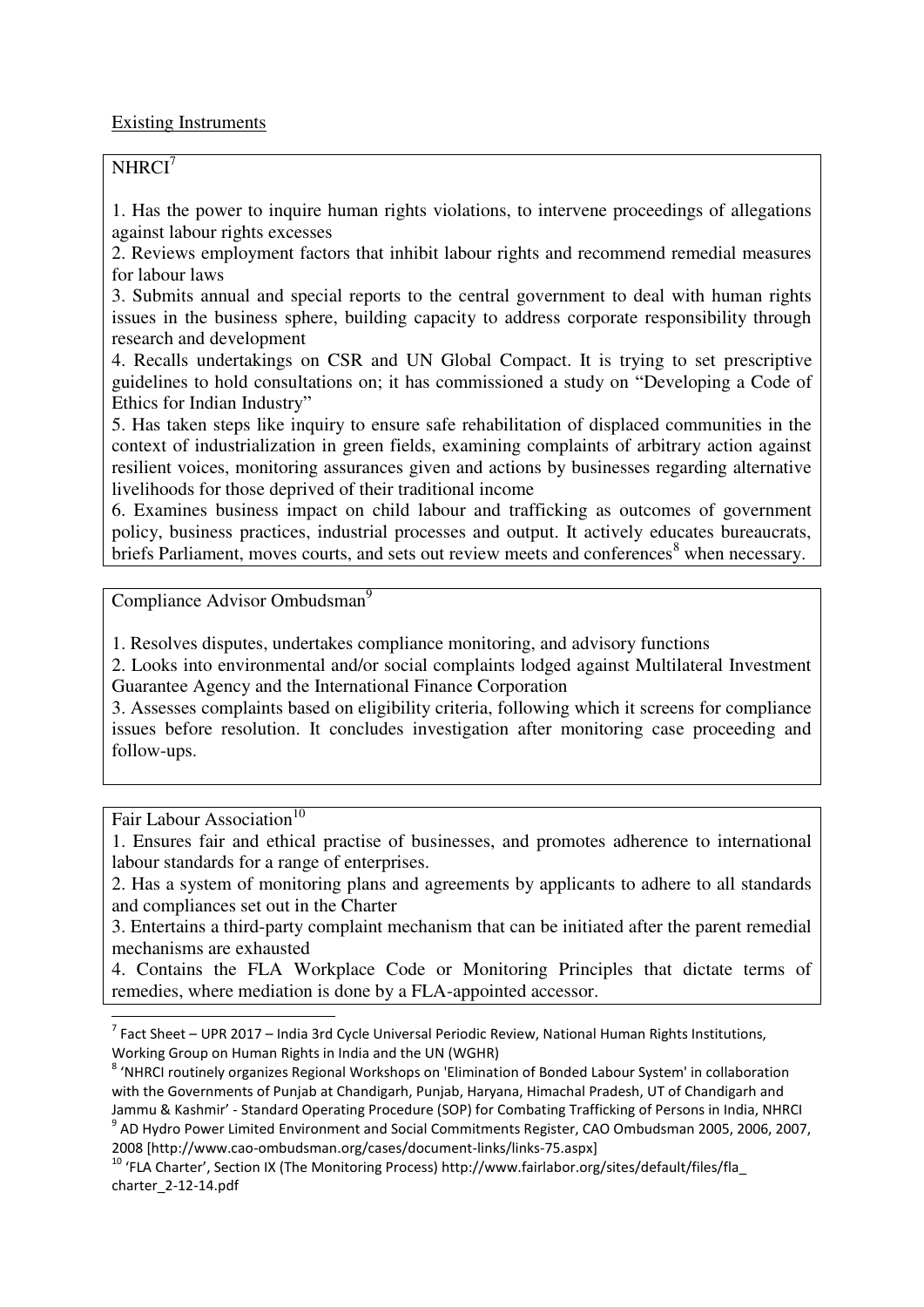## $NHRCI<sup>7</sup>$

1. Has the power to inquire human rights violations, to intervene proceedings of allegations against labour rights excesses

2. Reviews employment factors that inhibit labour rights and recommend remedial measures for labour laws

3. Submits annual and special reports to the central government to deal with human rights issues in the business sphere, building capacity to address corporate responsibility through research and development

4. Recalls undertakings on CSR and UN Global Compact. It is trying to set prescriptive guidelines to hold consultations on; it has commissioned a study on "Developing a Code of Ethics for Indian Industry"

5. Has taken steps like inquiry to ensure safe rehabilitation of displaced communities in the context of industrialization in green fields, examining complaints of arbitrary action against resilient voices, monitoring assurances given and actions by businesses regarding alternative livelihoods for those deprived of their traditional income

6. Examines business impact on child labour and trafficking as outcomes of government policy, business practices, industrial processes and output. It actively educates bureaucrats, briefs Parliament, moves courts, and sets out review meets and conferences<sup>8</sup> when necessary.

Compliance Advisor Ombudsman<sup>9</sup>

1. Resolves disputes, undertakes compliance monitoring, and advisory functions

2. Looks into environmental and/or social complaints lodged against Multilateral Investment Guarantee Agency and the International Finance Corporation

3. Assesses complaints based on eligibility criteria, following which it screens for compliance issues before resolution. It concludes investigation after monitoring case proceeding and follow-ups.

Fair Labour Association<sup>10</sup>

<u>.</u>

1. Ensures fair and ethical practise of businesses, and promotes adherence to international labour standards for a range of enterprises.

2. Has a system of monitoring plans and agreements by applicants to adhere to all standards and compliances set out in the Charter

3. Entertains a third-party complaint mechanism that can be initiated after the parent remedial mechanisms are exhausted

4. Contains the FLA Workplace Code or Monitoring Principles that dictate terms of remedies, where mediation is done by a FLA-appointed accessor.

2008 [http://www.cao-ombudsman.org/cases/document-links/links-75.aspx]

<sup>10</sup> 'FLA Charter', Section IX (The Monitoring Process) http://www.fairlabor.org/sites/default/files/fla charter\_2-12-14.pdf

 $^7$  Fact Sheet – UPR 2017 – India 3rd Cycle Universal Periodic Review, National Human Rights Institutions, Working Group on Human Rights in India and the UN (WGHR)

<sup>&</sup>lt;sup>8</sup> 'NHRCI routinely organizes Regional Workshops on 'Elimination of Bonded Labour System' in collaboration with the Governments of Punjab at Chandigarh, Punjab, Haryana, Himachal Pradesh, UT of Chandigarh and Jammu & Kashmir' - Standard Operating Procedure (SOP) for Combating Trafficking of Persons in India, NHRCI <sup>9</sup> AD Hydro Power Limited Environment and Social Commitments Register, CAO Ombudsman 2005, 2006, 2007,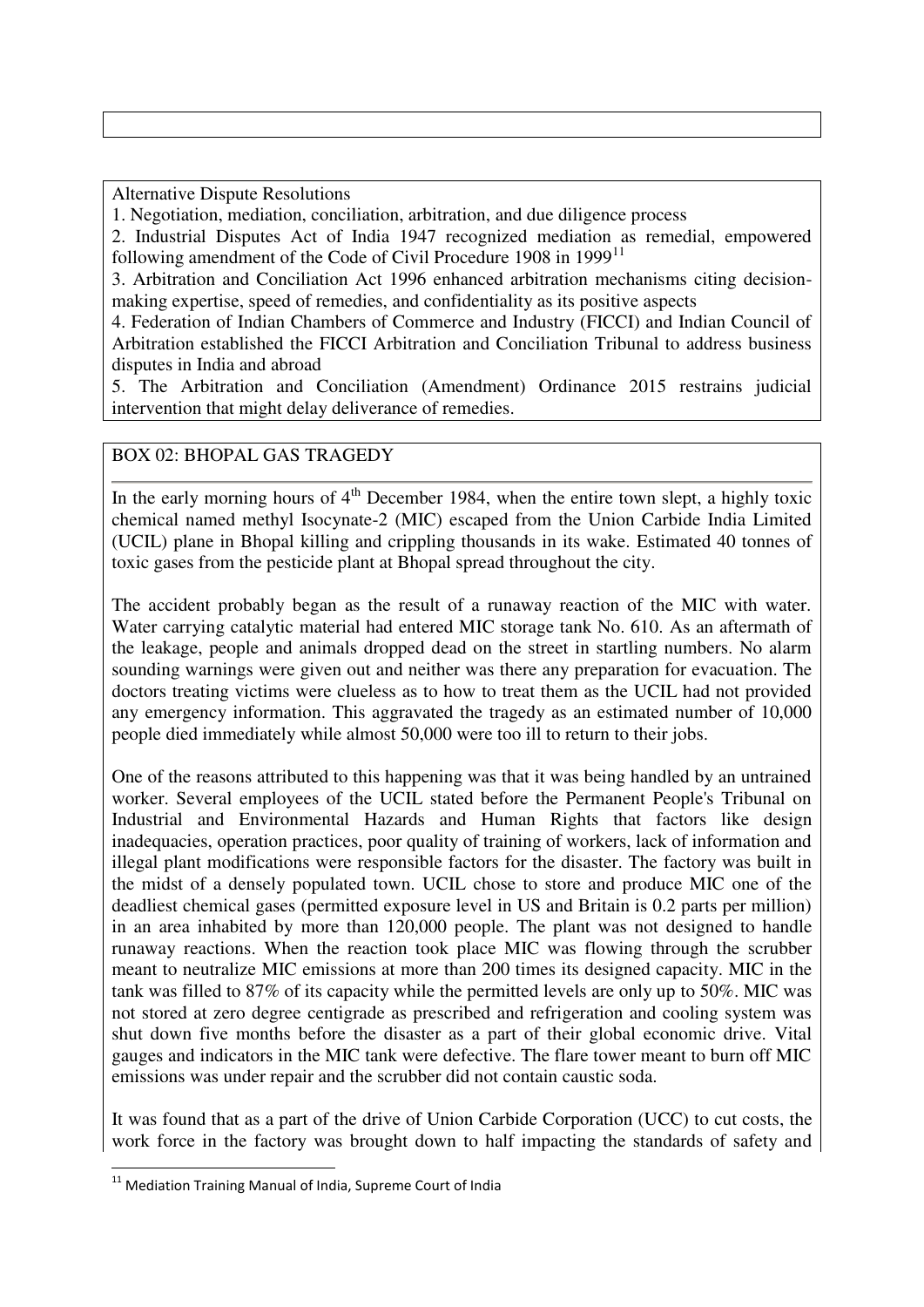Alternative Dispute Resolutions

1. Negotiation, mediation, conciliation, arbitration, and due diligence process

2. Industrial Disputes Act of India 1947 recognized mediation as remedial, empowered following amendment of the Code of Civil Procedure 1908 in 1999<sup>11</sup>

3. Arbitration and Conciliation Act 1996 enhanced arbitration mechanisms citing decisionmaking expertise, speed of remedies, and confidentiality as its positive aspects

4. Federation of Indian Chambers of Commerce and Industry (FICCI) and Indian Council of Arbitration established the FICCI Arbitration and Conciliation Tribunal to address business disputes in India and abroad

5. The Arbitration and Conciliation (Amendment) Ordinance 2015 restrains judicial intervention that might delay deliverance of remedies.

## BOX 02: BHOPAL GAS TRAGEDY

In the early morning hours of  $4<sup>th</sup>$  December 1984, when the entire town slept, a highly toxic chemical named methyl Isocynate-2 (MIC) escaped from the Union Carbide India Limited (UCIL) plane in Bhopal killing and crippling thousands in its wake. Estimated 40 tonnes of toxic gases from the pesticide plant at Bhopal spread throughout the city.

The accident probably began as the result of a runaway reaction of the MIC with water. Water carrying catalytic material had entered MIC storage tank No. 610. As an aftermath of the leakage, people and animals dropped dead on the street in startling numbers. No alarm sounding warnings were given out and neither was there any preparation for evacuation. The doctors treating victims were clueless as to how to treat them as the UCIL had not provided any emergency information. This aggravated the tragedy as an estimated number of 10,000 people died immediately while almost 50,000 were too ill to return to their jobs.

One of the reasons attributed to this happening was that it was being handled by an untrained worker. Several employees of the UCIL stated before the Permanent People's Tribunal on Industrial and Environmental Hazards and Human Rights that factors like design inadequacies, operation practices, poor quality of training of workers, lack of information and illegal plant modifications were responsible factors for the disaster. The factory was built in the midst of a densely populated town. UCIL chose to store and produce MIC one of the deadliest chemical gases (permitted exposure level in US and Britain is 0.2 parts per million) in an area inhabited by more than 120,000 people. The plant was not designed to handle runaway reactions. When the reaction took place MIC was flowing through the scrubber meant to neutralize MIC emissions at more than 200 times its designed capacity. MIC in the tank was filled to 87% of its capacity while the permitted levels are only up to 50%. MIC was not stored at zero degree centigrade as prescribed and refrigeration and cooling system was shut down five months before the disaster as a part of their global economic drive. Vital gauges and indicators in the MIC tank were defective. The flare tower meant to burn off MIC emissions was under repair and the scrubber did not contain caustic soda.

It was found that as a part of the drive of Union Carbide Corporation (UCC) to cut costs, the work force in the factory was brought down to half impacting the standards of safety and

-

<sup>&</sup>lt;sup>11</sup> Mediation Training Manual of India, Supreme Court of India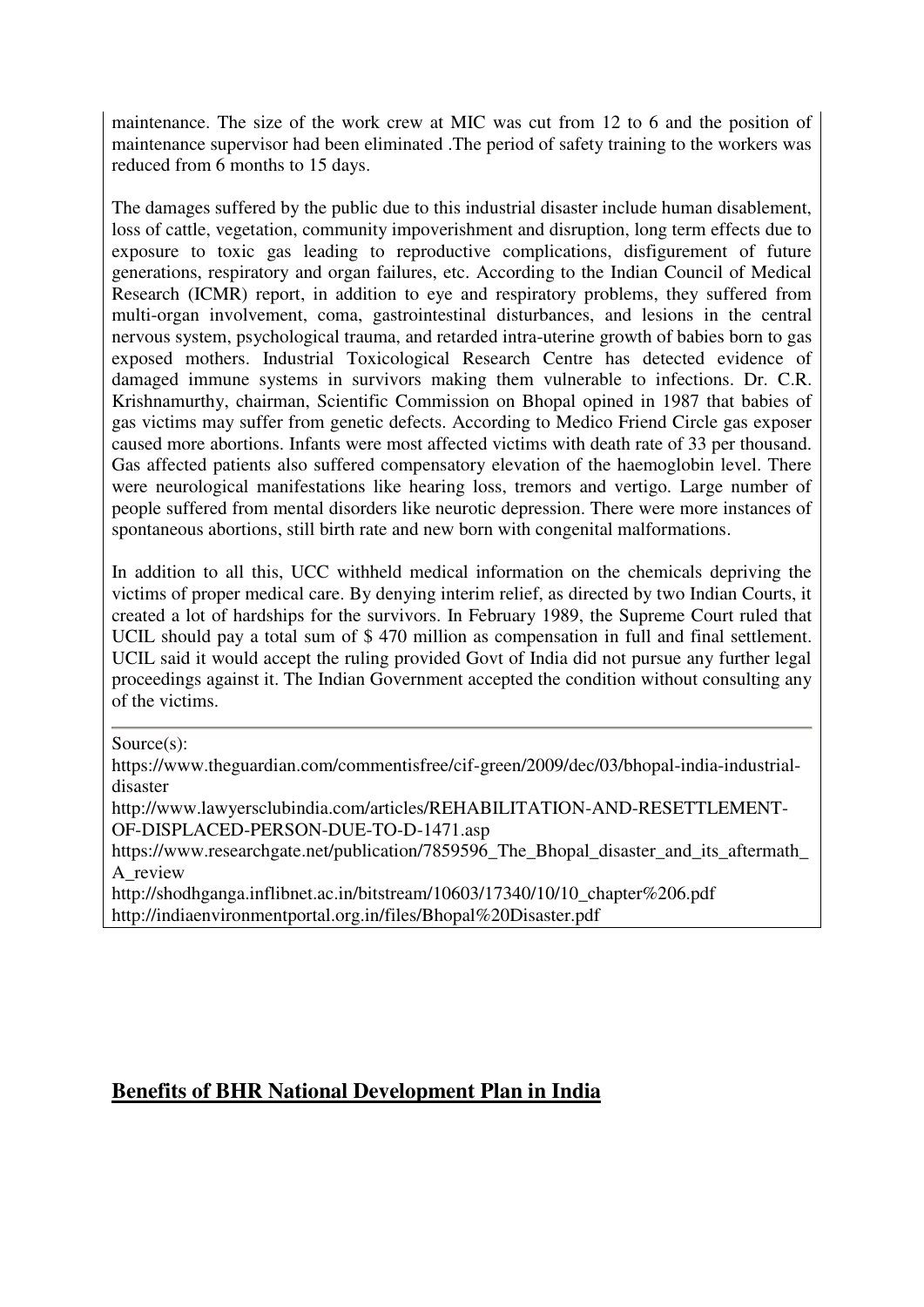maintenance. The size of the work crew at MIC was cut from 12 to 6 and the position of maintenance supervisor had been eliminated .The period of safety training to the workers was reduced from 6 months to 15 days.

The damages suffered by the public due to this industrial disaster include human disablement, loss of cattle, vegetation, community impoverishment and disruption, long term effects due to exposure to toxic gas leading to reproductive complications, disfigurement of future generations, respiratory and organ failures, etc. According to the Indian Council of Medical Research (ICMR) report, in addition to eye and respiratory problems, they suffered from multi-organ involvement, coma, gastrointestinal disturbances, and lesions in the central nervous system, psychological trauma, and retarded intra-uterine growth of babies born to gas exposed mothers. Industrial Toxicological Research Centre has detected evidence of damaged immune systems in survivors making them vulnerable to infections. Dr. C.R. Krishnamurthy, chairman, Scientific Commission on Bhopal opined in 1987 that babies of gas victims may suffer from genetic defects. According to Medico Friend Circle gas exposer caused more abortions. Infants were most affected victims with death rate of 33 per thousand. Gas affected patients also suffered compensatory elevation of the haemoglobin level. There were neurological manifestations like hearing loss, tremors and vertigo. Large number of people suffered from mental disorders like neurotic depression. There were more instances of spontaneous abortions, still birth rate and new born with congenital malformations.

In addition to all this, UCC withheld medical information on the chemicals depriving the victims of proper medical care. By denying interim relief, as directed by two Indian Courts, it created a lot of hardships for the survivors. In February 1989, the Supreme Court ruled that UCIL should pay a total sum of \$ 470 million as compensation in full and final settlement. UCIL said it would accept the ruling provided Govt of India did not pursue any further legal proceedings against it. The Indian Government accepted the condition without consulting any of the victims.

Source(s):

https://www.theguardian.com/commentisfree/cif-green/2009/dec/03/bhopal-india-industrialdisaster

http://www.lawyersclubindia.com/articles/REHABILITATION-AND-RESETTLEMENT-OF-DISPLACED-PERSON-DUE-TO-D-1471.asp

https://www.researchgate.net/publication/7859596\_The\_Bhopal\_disaster\_and\_its\_aftermath\_ A\_review

http://shodhganga.inflibnet.ac.in/bitstream/10603/17340/10/10\_chapter%206.pdf http://indiaenvironmentportal.org.in/files/Bhopal%20Disaster.pdf

# **Benefits of BHR National Development Plan in India**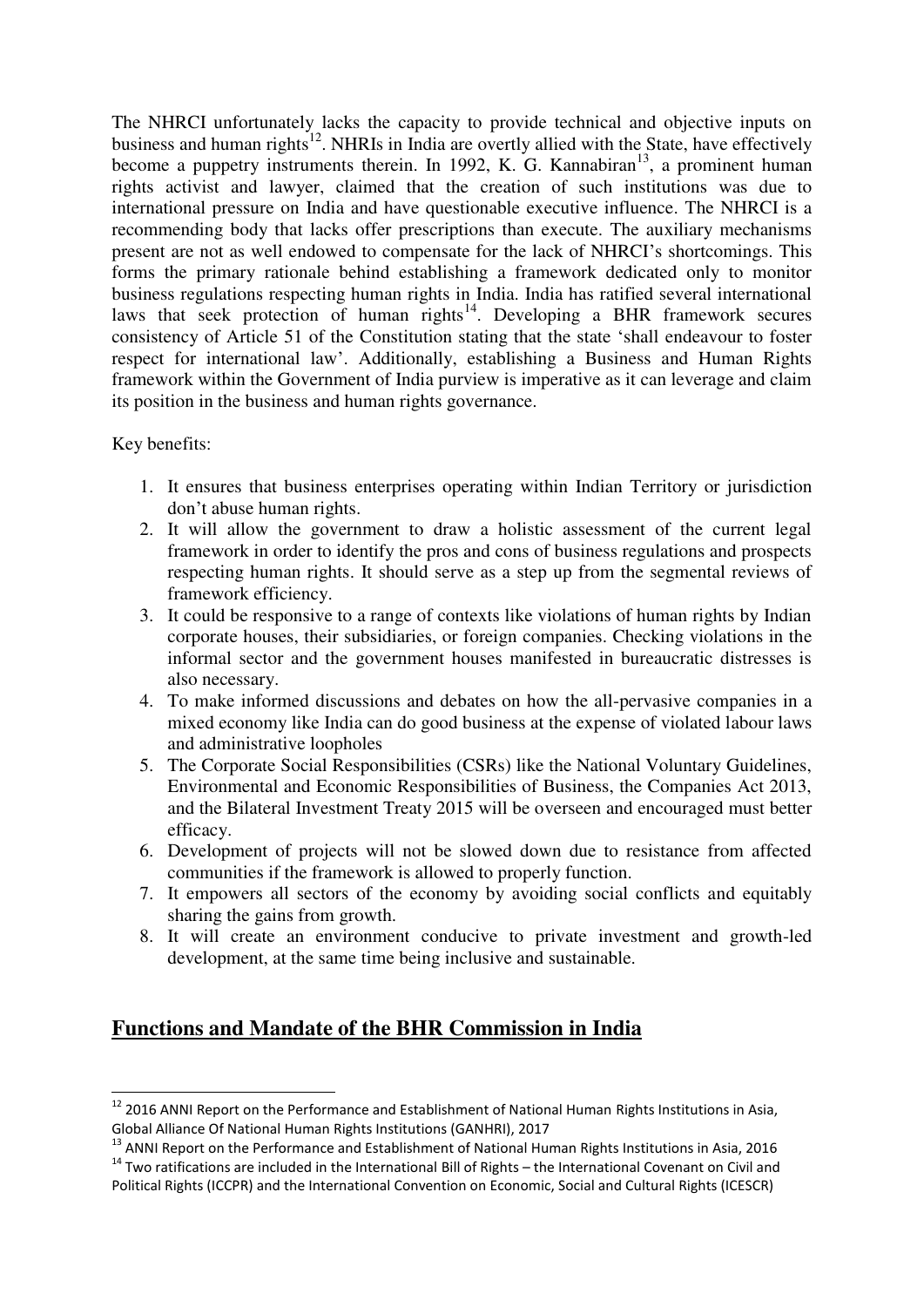The NHRCI unfortunately lacks the capacity to provide technical and objective inputs on business and human rights<sup>12</sup>. NHRIs in India are overtly allied with the State, have effectively become a puppetry instruments therein. In 1992, K. G. Kannabiran<sup>13</sup>, a prominent human rights activist and lawyer, claimed that the creation of such institutions was due to international pressure on India and have questionable executive influence. The NHRCI is a recommending body that lacks offer prescriptions than execute. The auxiliary mechanisms present are not as well endowed to compensate for the lack of NHRCI's shortcomings. This forms the primary rationale behind establishing a framework dedicated only to monitor business regulations respecting human rights in India. India has ratified several international laws that seek protection of human rights<sup>14</sup>. Developing a BHR framework secures consistency of Article 51 of the Constitution stating that the state 'shall endeavour to foster respect for international law'. Additionally, establishing a Business and Human Rights framework within the Government of India purview is imperative as it can leverage and claim its position in the business and human rights governance.

Key benefits:

<u>.</u>

- 1. It ensures that business enterprises operating within Indian Territory or jurisdiction don't abuse human rights.
- 2. It will allow the government to draw a holistic assessment of the current legal framework in order to identify the pros and cons of business regulations and prospects respecting human rights. It should serve as a step up from the segmental reviews of framework efficiency.
- 3. It could be responsive to a range of contexts like violations of human rights by Indian corporate houses, their subsidiaries, or foreign companies. Checking violations in the informal sector and the government houses manifested in bureaucratic distresses is also necessary.
- 4. To make informed discussions and debates on how the all-pervasive companies in a mixed economy like India can do good business at the expense of violated labour laws and administrative loopholes
- 5. The Corporate Social Responsibilities (CSRs) like the National Voluntary Guidelines, Environmental and Economic Responsibilities of Business, the Companies Act 2013, and the Bilateral Investment Treaty 2015 will be overseen and encouraged must better efficacy.
- 6. Development of projects will not be slowed down due to resistance from affected communities if the framework is allowed to properly function.
- 7. It empowers all sectors of the economy by avoiding social conflicts and equitably sharing the gains from growth.
- 8. It will create an environment conducive to private investment and growth-led development, at the same time being inclusive and sustainable.

# **Functions and Mandate of the BHR Commission in India**

<sup>&</sup>lt;sup>12</sup> 2016 ANNI Report on the Performance and Establishment of National Human Rights Institutions in Asia, Global Alliance Of National Human Rights Institutions (GANHRI), 2017

<sup>&</sup>lt;sup>13</sup> ANNI Report on the Performance and Establishment of National Human Rights Institutions in Asia, 2016 <sup>14</sup> Two ratifications are included in the International Bill of Rights – the International Covenant on Civil and Political Rights (ICCPR) and the International Convention on Economic, Social and Cultural Rights (ICESCR)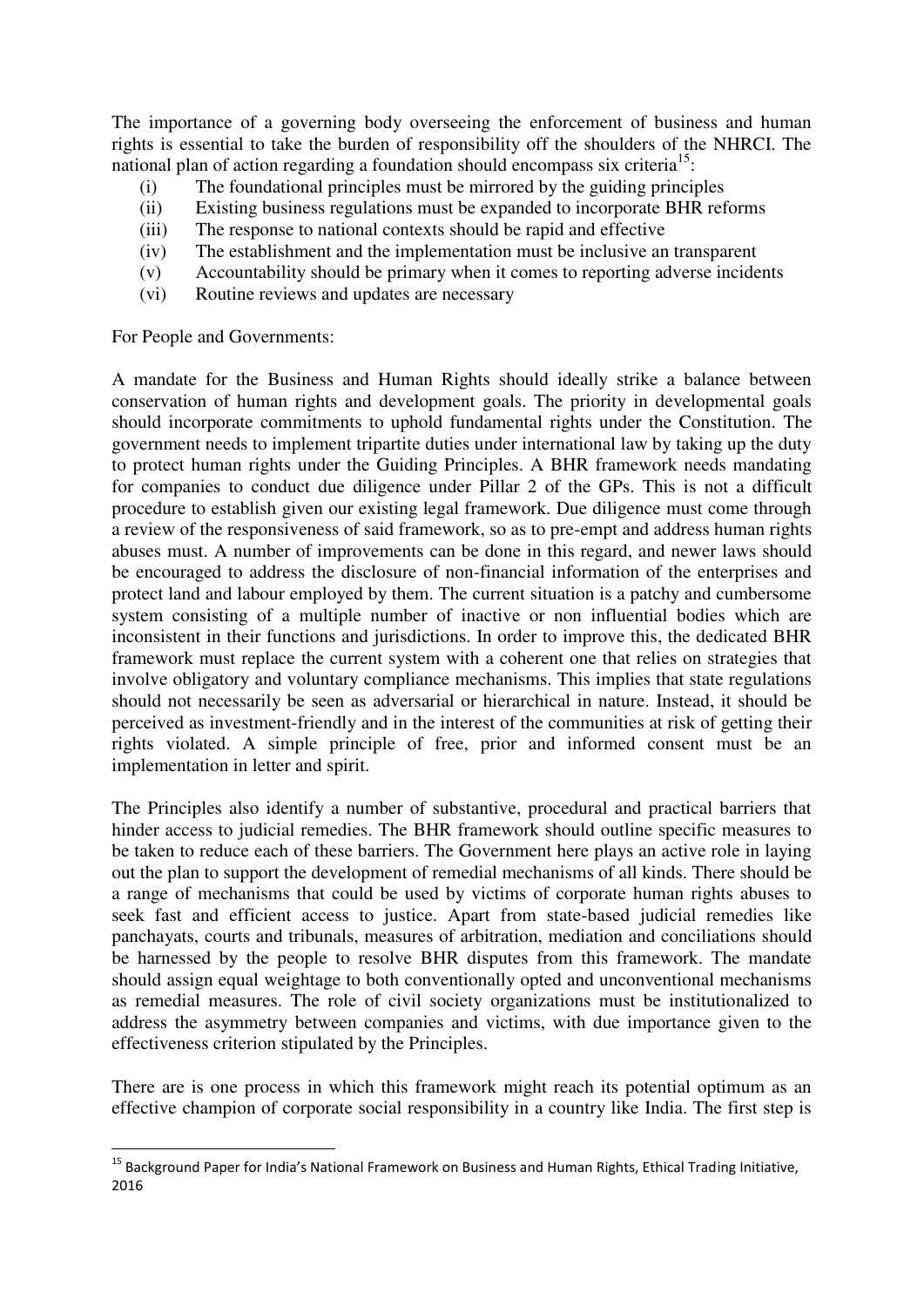The importance of a governing body overseeing the enforcement of business and human rights is essential to take the burden of responsibility off the shoulders of the NHRCI. The national plan of action regarding a foundation should encompass six criteria<sup>15</sup>:

- (i) The foundational principles must be mirrored by the guiding principles
- (ii) Existing business regulations must be expanded to incorporate BHR reforms
- (iii) The response to national contexts should be rapid and effective
- (iv) The establishment and the implementation must be inclusive an transparent
- (v) Accountability should be primary when it comes to reporting adverse incidents
- (vi) Routine reviews and updates are necessary

For People and Governments:

-

A mandate for the Business and Human Rights should ideally strike a balance between conservation of human rights and development goals. The priority in developmental goals should incorporate commitments to uphold fundamental rights under the Constitution. The government needs to implement tripartite duties under international law by taking up the duty to protect human rights under the Guiding Principles. A BHR framework needs mandating for companies to conduct due diligence under Pillar 2 of the GPs. This is not a difficult procedure to establish given our existing legal framework. Due diligence must come through a review of the responsiveness of said framework, so as to pre-empt and address human rights abuses must. A number of improvements can be done in this regard, and newer laws should be encouraged to address the disclosure of non-financial information of the enterprises and protect land and labour employed by them. The current situation is a patchy and cumbersome system consisting of a multiple number of inactive or non influential bodies which are inconsistent in their functions and jurisdictions. In order to improve this, the dedicated BHR framework must replace the current system with a coherent one that relies on strategies that involve obligatory and voluntary compliance mechanisms. This implies that state regulations should not necessarily be seen as adversarial or hierarchical in nature. Instead, it should be perceived as investment-friendly and in the interest of the communities at risk of getting their rights violated. A simple principle of free, prior and informed consent must be an implementation in letter and spirit.

The Principles also identify a number of substantive, procedural and practical barriers that hinder access to judicial remedies. The BHR framework should outline specific measures to be taken to reduce each of these barriers. The Government here plays an active role in laying out the plan to support the development of remedial mechanisms of all kinds. There should be a range of mechanisms that could be used by victims of corporate human rights abuses to seek fast and efficient access to justice. Apart from state-based judicial remedies like panchayats, courts and tribunals, measures of arbitration, mediation and conciliations should be harnessed by the people to resolve BHR disputes from this framework. The mandate should assign equal weightage to both conventionally opted and unconventional mechanisms as remedial measures. The role of civil society organizations must be institutionalized to address the asymmetry between companies and victims, with due importance given to the effectiveness criterion stipulated by the Principles.

There are is one process in which this framework might reach its potential optimum as an effective champion of corporate social responsibility in a country like India. The first step is

<sup>&</sup>lt;sup>15</sup> Background Paper for India's National Framework on Business and Human Rights, Ethical Trading Initiative, 2016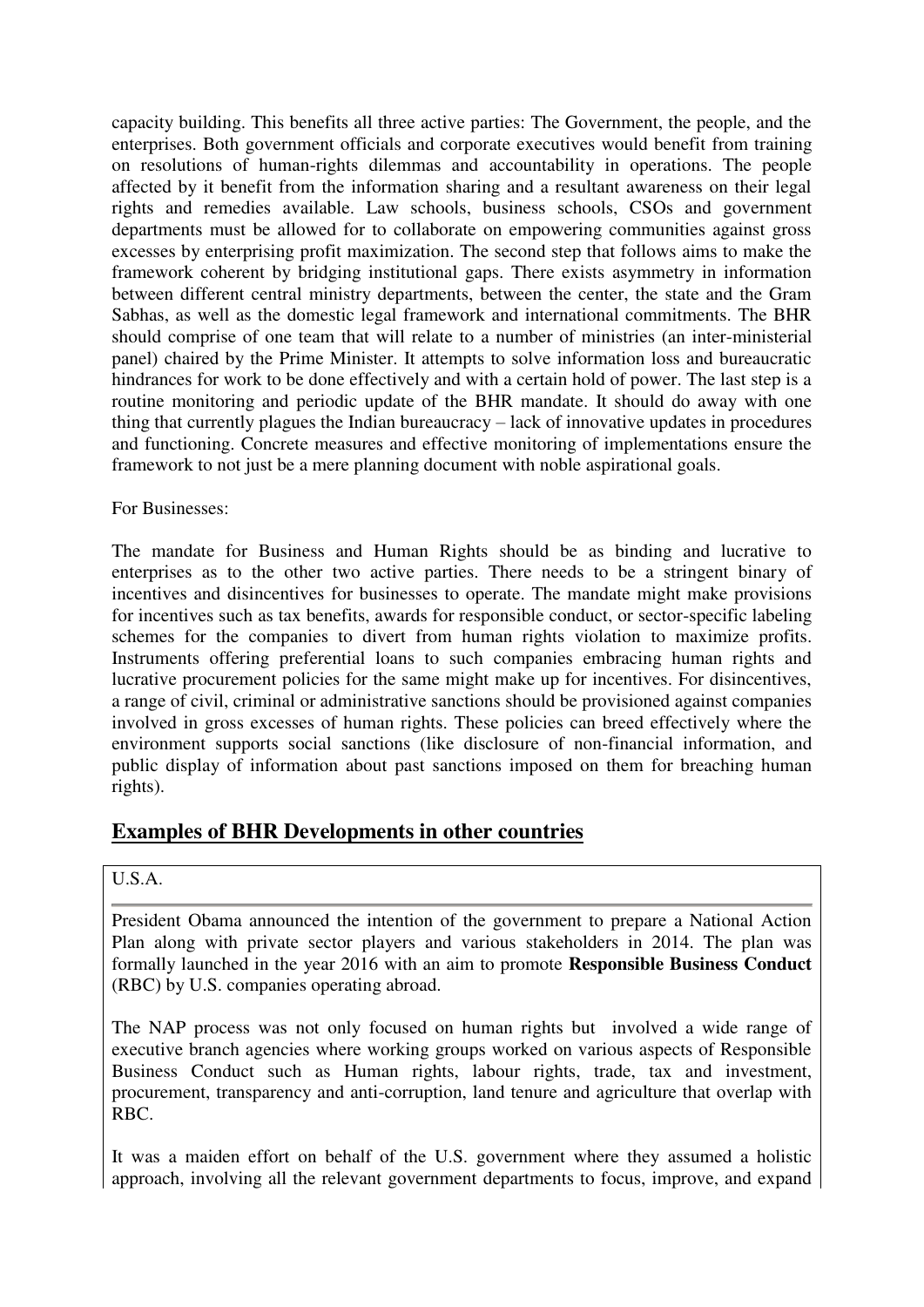capacity building. This benefits all three active parties: The Government, the people, and the enterprises. Both government officials and corporate executives would benefit from training on resolutions of human-rights dilemmas and accountability in operations. The people affected by it benefit from the information sharing and a resultant awareness on their legal rights and remedies available. Law schools, business schools, CSOs and government departments must be allowed for to collaborate on empowering communities against gross excesses by enterprising profit maximization. The second step that follows aims to make the framework coherent by bridging institutional gaps. There exists asymmetry in information between different central ministry departments, between the center, the state and the Gram Sabhas, as well as the domestic legal framework and international commitments. The BHR should comprise of one team that will relate to a number of ministries (an inter-ministerial panel) chaired by the Prime Minister. It attempts to solve information loss and bureaucratic hindrances for work to be done effectively and with a certain hold of power. The last step is a routine monitoring and periodic update of the BHR mandate. It should do away with one thing that currently plagues the Indian bureaucracy – lack of innovative updates in procedures and functioning. Concrete measures and effective monitoring of implementations ensure the framework to not just be a mere planning document with noble aspirational goals.

#### For Businesses:

The mandate for Business and Human Rights should be as binding and lucrative to enterprises as to the other two active parties. There needs to be a stringent binary of incentives and disincentives for businesses to operate. The mandate might make provisions for incentives such as tax benefits, awards for responsible conduct, or sector-specific labeling schemes for the companies to divert from human rights violation to maximize profits. Instruments offering preferential loans to such companies embracing human rights and lucrative procurement policies for the same might make up for incentives. For disincentives, a range of civil, criminal or administrative sanctions should be provisioned against companies involved in gross excesses of human rights. These policies can breed effectively where the environment supports social sanctions (like disclosure of non-financial information, and public display of information about past sanctions imposed on them for breaching human rights).

## **Examples of BHR Developments in other countries**

#### U.S.A.

President Obama announced the intention of the government to prepare a National Action Plan along with private sector players and various stakeholders in 2014. The plan was formally launched in the year 2016 with an aim to promote **Responsible Business Conduct**  (RBC) by U.S. companies operating abroad.

The NAP process was not only focused on human rights but involved a wide range of executive branch agencies where working groups worked on various aspects of Responsible Business Conduct such as Human rights, labour rights, trade, tax and investment, procurement, transparency and anti-corruption, land tenure and agriculture that overlap with RBC.

It was a maiden effort on behalf of the U.S. government where they assumed a holistic approach, involving all the relevant government departments to focus, improve, and expand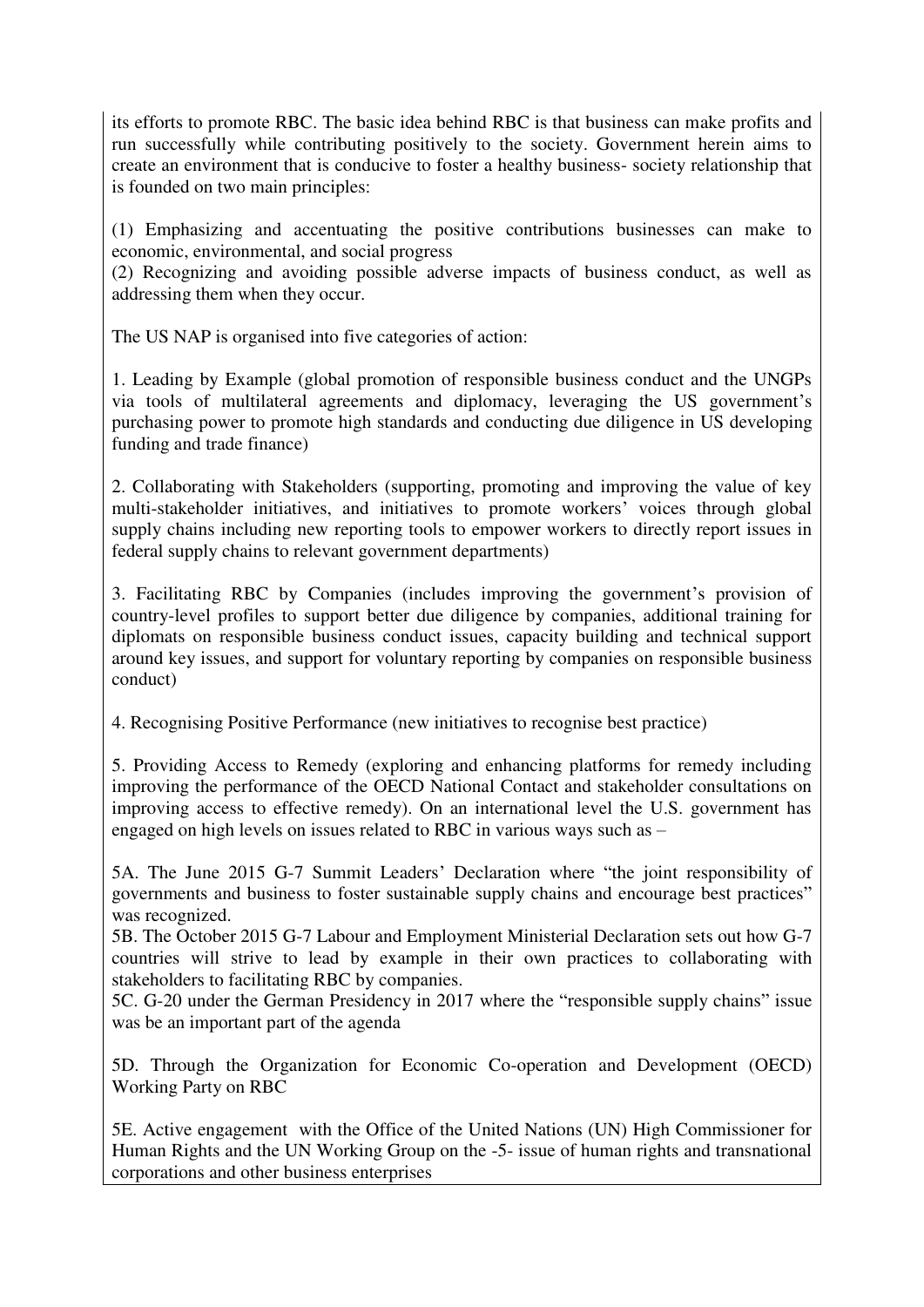its efforts to promote RBC. The basic idea behind RBC is that business can make profits and run successfully while contributing positively to the society. Government herein aims to create an environment that is conducive to foster a healthy business- society relationship that is founded on two main principles:

(1) Emphasizing and accentuating the positive contributions businesses can make to economic, environmental, and social progress

(2) Recognizing and avoiding possible adverse impacts of business conduct, as well as addressing them when they occur.

The US NAP is organised into five categories of action:

1. Leading by Example (global promotion of responsible business conduct and the UNGPs via tools of multilateral agreements and diplomacy, leveraging the US government's purchasing power to promote high standards and conducting due diligence in US developing funding and trade finance)

2. Collaborating with Stakeholders (supporting, promoting and improving the value of key multi-stakeholder initiatives, and initiatives to promote workers' voices through global supply chains including new reporting tools to empower workers to directly report issues in federal supply chains to relevant government departments)

3. Facilitating RBC by Companies (includes improving the government's provision of country-level profiles to support better due diligence by companies, additional training for diplomats on responsible business conduct issues, capacity building and technical support around key issues, and support for voluntary reporting by companies on responsible business conduct)

4. Recognising Positive Performance (new initiatives to recognise best practice)

5. Providing Access to Remedy (exploring and enhancing platforms for remedy including improving the performance of the OECD National Contact and stakeholder consultations on improving access to effective remedy). On an international level the U.S. government has engaged on high levels on issues related to RBC in various ways such as –

5A. The June 2015 G-7 Summit Leaders' Declaration where "the joint responsibility of governments and business to foster sustainable supply chains and encourage best practices" was recognized.

5B. The October 2015 G-7 Labour and Employment Ministerial Declaration sets out how G-7 countries will strive to lead by example in their own practices to collaborating with stakeholders to facilitating RBC by companies.

5C. G-20 under the German Presidency in 2017 where the "responsible supply chains" issue was be an important part of the agenda

5D. Through the Organization for Economic Co-operation and Development (OECD) Working Party on RBC

5E. Active engagement with the Office of the United Nations (UN) High Commissioner for Human Rights and the UN Working Group on the -5- issue of human rights and transnational corporations and other business enterprises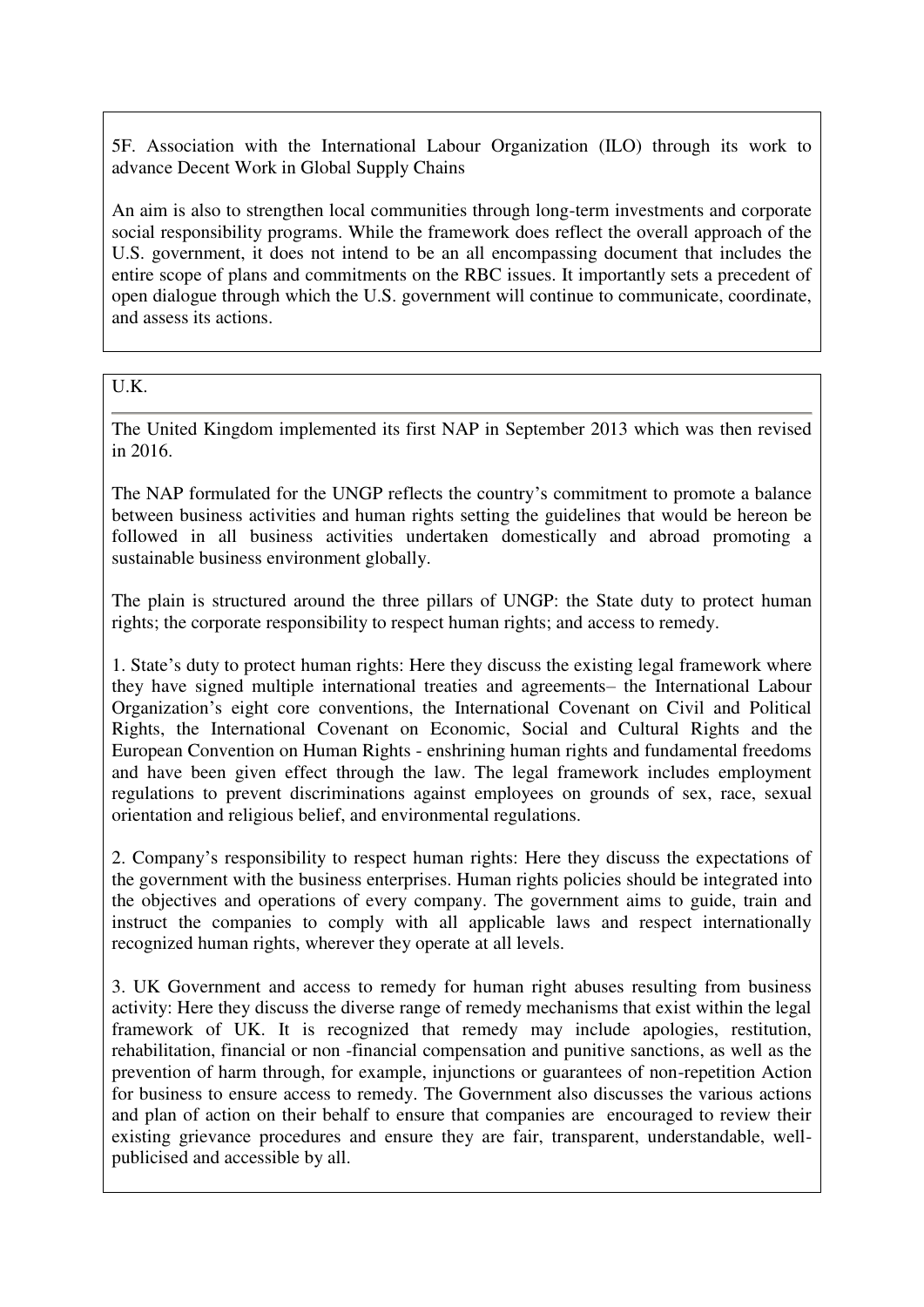5F. Association with the International Labour Organization (ILO) through its work to advance Decent Work in Global Supply Chains

An aim is also to strengthen local communities through long-term investments and corporate social responsibility programs. While the framework does reflect the overall approach of the U.S. government, it does not intend to be an all encompassing document that includes the entire scope of plans and commitments on the RBC issues. It importantly sets a precedent of open dialogue through which the U.S. government will continue to communicate, coordinate, and assess its actions.

## U.K.

The United Kingdom implemented its first NAP in September 2013 which was then revised in 2016.

The NAP formulated for the UNGP reflects the country's commitment to promote a balance between business activities and human rights setting the guidelines that would be hereon be followed in all business activities undertaken domestically and abroad promoting a sustainable business environment globally.

The plain is structured around the three pillars of UNGP: the State duty to protect human rights; the corporate responsibility to respect human rights; and access to remedy.

1. State's duty to protect human rights: Here they discuss the existing legal framework where they have signed multiple international treaties and agreements– the International Labour Organization's eight core conventions, the International Covenant on Civil and Political Rights, the International Covenant on Economic, Social and Cultural Rights and the European Convention on Human Rights - enshrining human rights and fundamental freedoms and have been given effect through the law. The legal framework includes employment regulations to prevent discriminations against employees on grounds of sex, race, sexual orientation and religious belief, and environmental regulations.

2. Company's responsibility to respect human rights: Here they discuss the expectations of the government with the business enterprises. Human rights policies should be integrated into the objectives and operations of every company. The government aims to guide, train and instruct the companies to comply with all applicable laws and respect internationally recognized human rights, wherever they operate at all levels.

3. UK Government and access to remedy for human right abuses resulting from business activity: Here they discuss the diverse range of remedy mechanisms that exist within the legal framework of UK. It is recognized that remedy may include apologies, restitution, rehabilitation, financial or non -financial compensation and punitive sanctions, as well as the prevention of harm through, for example, injunctions or guarantees of non-repetition Action for business to ensure access to remedy. The Government also discusses the various actions and plan of action on their behalf to ensure that companies are encouraged to review their existing grievance procedures and ensure they are fair, transparent, understandable, wellpublicised and accessible by all.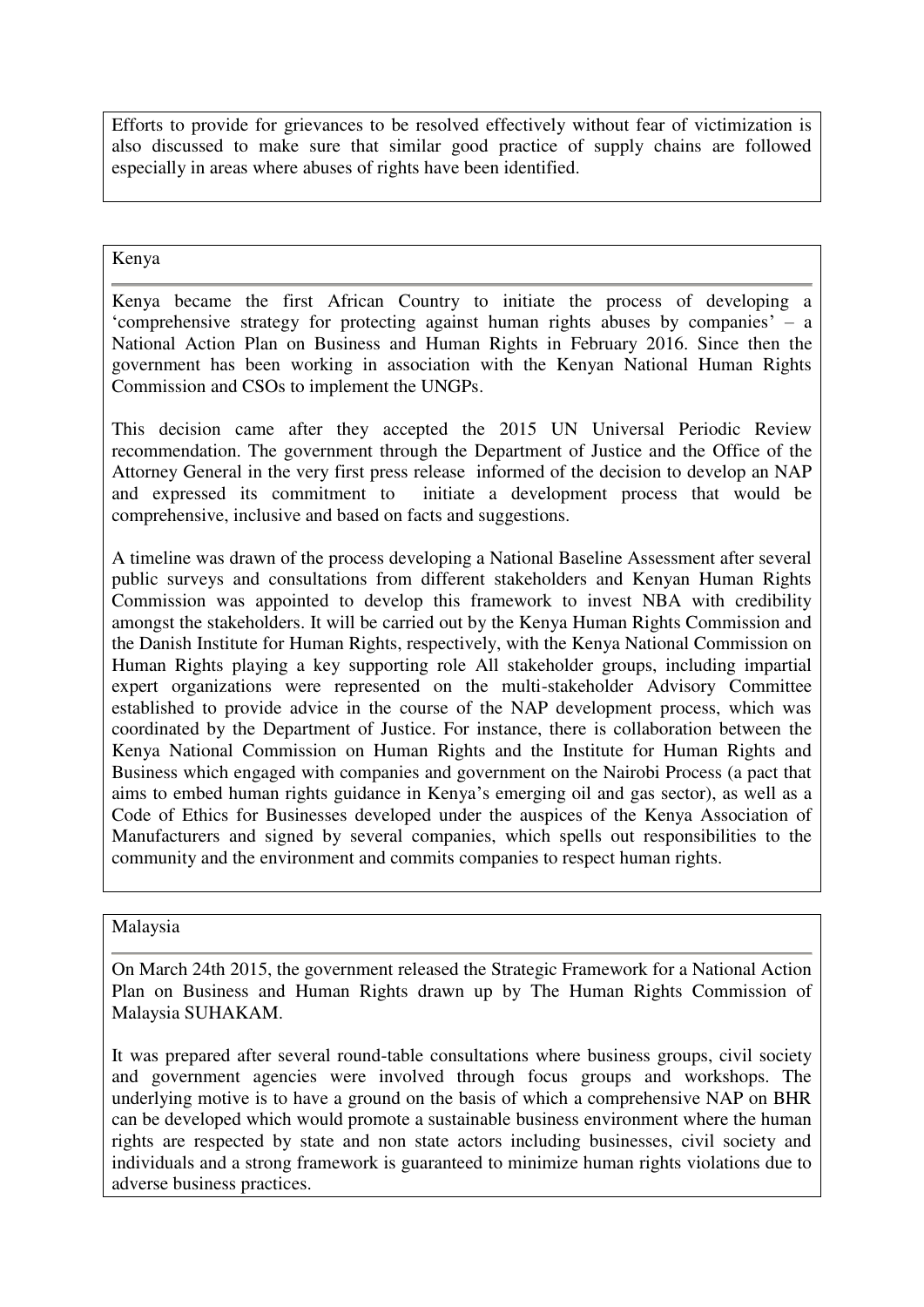Efforts to provide for grievances to be resolved effectively without fear of victimization is also discussed to make sure that similar good practice of supply chains are followed especially in areas where abuses of rights have been identified.

#### Kenya

Kenya became the first African Country to initiate the process of developing a 'comprehensive strategy for protecting against human rights abuses by companies' – a National Action Plan on Business and Human Rights in February 2016. Since then the government has been working in association with the Kenyan National Human Rights Commission and CSOs to implement the UNGPs.

This decision came after they accepted the 2015 UN Universal Periodic Review recommendation. The government through the Department of Justice and the Office of the Attorney General in the very first press release informed of the decision to develop an NAP and expressed its commitment to initiate a development process that would be comprehensive, inclusive and based on facts and suggestions.

A timeline was drawn of the process developing a National Baseline Assessment after several public surveys and consultations from different stakeholders and Kenyan Human Rights Commission was appointed to develop this framework to invest NBA with credibility amongst the stakeholders. It will be carried out by the Kenya Human Rights Commission and the Danish Institute for Human Rights, respectively, with the Kenya National Commission on Human Rights playing a key supporting role All stakeholder groups, including impartial expert organizations were represented on the multi-stakeholder Advisory Committee established to provide advice in the course of the NAP development process, which was coordinated by the Department of Justice. For instance, there is collaboration between the Kenya National Commission on Human Rights and the Institute for Human Rights and Business which engaged with companies and government on the Nairobi Process (a pact that aims to embed human rights guidance in Kenya's emerging oil and gas sector), as well as a Code of Ethics for Businesses developed under the auspices of the Kenya Association of Manufacturers and signed by several companies, which spells out responsibilities to the community and the environment and commits companies to respect human rights.

Malaysia

On March 24th 2015, the government released the Strategic Framework for a National Action Plan on Business and Human Rights drawn up by The Human Rights Commission of Malaysia SUHAKAM.

It was prepared after several round-table consultations where business groups, civil society and government agencies were involved through focus groups and workshops. The underlying motive is to have a ground on the basis of which a comprehensive NAP on BHR can be developed which would promote a sustainable business environment where the human rights are respected by state and non state actors including businesses, civil society and individuals and a strong framework is guaranteed to minimize human rights violations due to adverse business practices.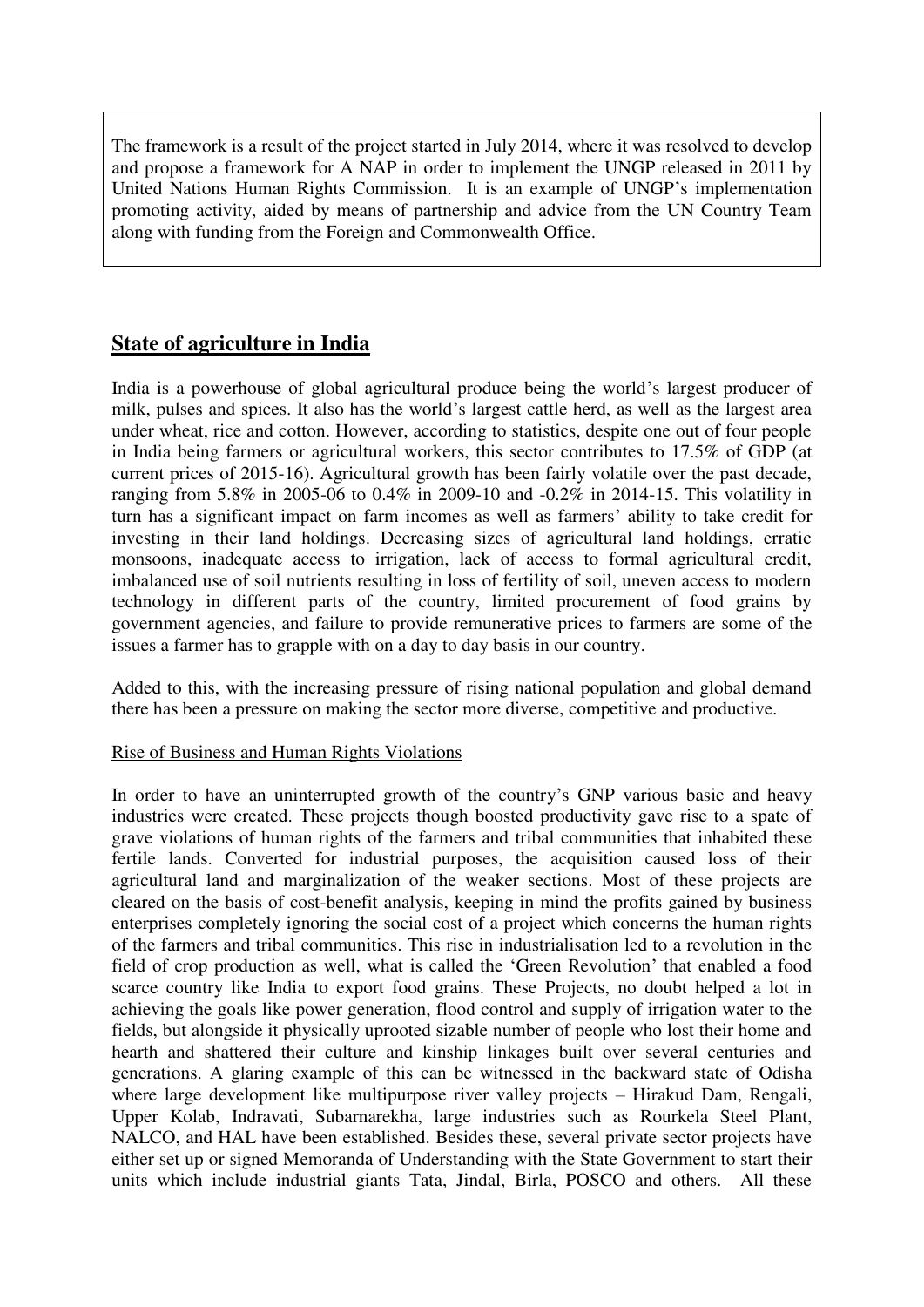The framework is a result of the project started in July 2014, where it was resolved to develop and propose a framework for A NAP in order to implement the UNGP released in 2011 by United Nations Human Rights Commission. It is an example of UNGP's implementation promoting activity, aided by means of partnership and advice from the UN Country Team along with funding from the Foreign and Commonwealth Office.

# **State of agriculture in India**

India is a powerhouse of global agricultural produce being the world's largest producer of milk, pulses and spices. It also has the world's largest cattle herd, as well as the largest area under wheat, rice and cotton. However, according to statistics, despite one out of four people in India being farmers or agricultural workers, this sector contributes to 17.5% of GDP (at current prices of 2015-16). Agricultural growth has been fairly volatile over the past decade, ranging from 5.8% in 2005-06 to 0.4% in 2009-10 and -0.2% in 2014-15. This volatility in turn has a significant impact on farm incomes as well as farmers' ability to take credit for investing in their land holdings. Decreasing sizes of agricultural land holdings, erratic monsoons, inadequate access to irrigation, lack of access to formal agricultural credit, imbalanced use of soil nutrients resulting in loss of fertility of soil, uneven access to modern technology in different parts of the country, limited procurement of food grains by government agencies, and failure to provide remunerative prices to farmers are some of the issues a farmer has to grapple with on a day to day basis in our country.

Added to this, with the increasing pressure of rising national population and global demand there has been a pressure on making the sector more diverse, competitive and productive.

## Rise of Business and Human Rights Violations

In order to have an uninterrupted growth of the country's GNP various basic and heavy industries were created. These projects though boosted productivity gave rise to a spate of grave violations of human rights of the farmers and tribal communities that inhabited these fertile lands. Converted for industrial purposes, the acquisition caused loss of their agricultural land and marginalization of the weaker sections. Most of these projects are cleared on the basis of cost-benefit analysis, keeping in mind the profits gained by business enterprises completely ignoring the social cost of a project which concerns the human rights of the farmers and tribal communities. This rise in industrialisation led to a revolution in the field of crop production as well, what is called the 'Green Revolution' that enabled a food scarce country like India to export food grains. These Projects, no doubt helped a lot in achieving the goals like power generation, flood control and supply of irrigation water to the fields, but alongside it physically uprooted sizable number of people who lost their home and hearth and shattered their culture and kinship linkages built over several centuries and generations. A glaring example of this can be witnessed in the backward state of Odisha where large development like multipurpose river valley projects – Hirakud Dam, Rengali, Upper Kolab, Indravati, Subarnarekha, large industries such as Rourkela Steel Plant, NALCO, and HAL have been established. Besides these, several private sector projects have either set up or signed Memoranda of Understanding with the State Government to start their units which include industrial giants Tata, Jindal, Birla, POSCO and others. All these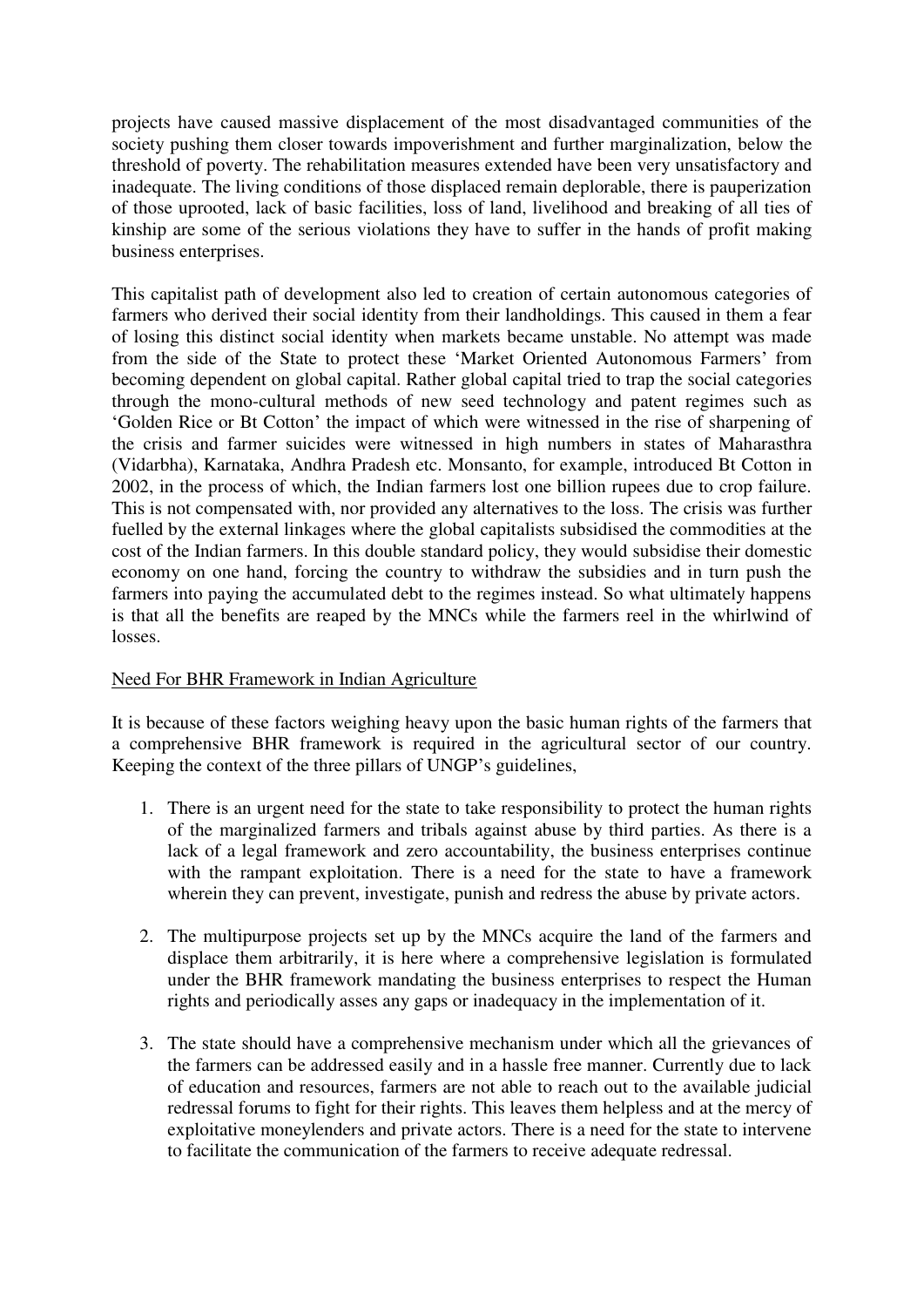projects have caused massive displacement of the most disadvantaged communities of the society pushing them closer towards impoverishment and further marginalization, below the threshold of poverty. The rehabilitation measures extended have been very unsatisfactory and inadequate. The living conditions of those displaced remain deplorable, there is pauperization of those uprooted, lack of basic facilities, loss of land, livelihood and breaking of all ties of kinship are some of the serious violations they have to suffer in the hands of profit making business enterprises.

This capitalist path of development also led to creation of certain autonomous categories of farmers who derived their social identity from their landholdings. This caused in them a fear of losing this distinct social identity when markets became unstable. No attempt was made from the side of the State to protect these 'Market Oriented Autonomous Farmers' from becoming dependent on global capital. Rather global capital tried to trap the social categories through the mono-cultural methods of new seed technology and patent regimes such as 'Golden Rice or Bt Cotton' the impact of which were witnessed in the rise of sharpening of the crisis and farmer suicides were witnessed in high numbers in states of Maharasthra (Vidarbha), Karnataka, Andhra Pradesh etc. Monsanto, for example, introduced Bt Cotton in 2002, in the process of which, the Indian farmers lost one billion rupees due to crop failure. This is not compensated with, nor provided any alternatives to the loss. The crisis was further fuelled by the external linkages where the global capitalists subsidised the commodities at the cost of the Indian farmers. In this double standard policy, they would subsidise their domestic economy on one hand, forcing the country to withdraw the subsidies and in turn push the farmers into paying the accumulated debt to the regimes instead. So what ultimately happens is that all the benefits are reaped by the MNCs while the farmers reel in the whirlwind of losses.

## Need For BHR Framework in Indian Agriculture

It is because of these factors weighing heavy upon the basic human rights of the farmers that a comprehensive BHR framework is required in the agricultural sector of our country. Keeping the context of the three pillars of UNGP's guidelines,

- 1. There is an urgent need for the state to take responsibility to protect the human rights of the marginalized farmers and tribals against abuse by third parties. As there is a lack of a legal framework and zero accountability, the business enterprises continue with the rampant exploitation. There is a need for the state to have a framework wherein they can prevent, investigate, punish and redress the abuse by private actors.
- 2. The multipurpose projects set up by the MNCs acquire the land of the farmers and displace them arbitrarily, it is here where a comprehensive legislation is formulated under the BHR framework mandating the business enterprises to respect the Human rights and periodically asses any gaps or inadequacy in the implementation of it.
- 3. The state should have a comprehensive mechanism under which all the grievances of the farmers can be addressed easily and in a hassle free manner. Currently due to lack of education and resources, farmers are not able to reach out to the available judicial redressal forums to fight for their rights. This leaves them helpless and at the mercy of exploitative moneylenders and private actors. There is a need for the state to intervene to facilitate the communication of the farmers to receive adequate redressal.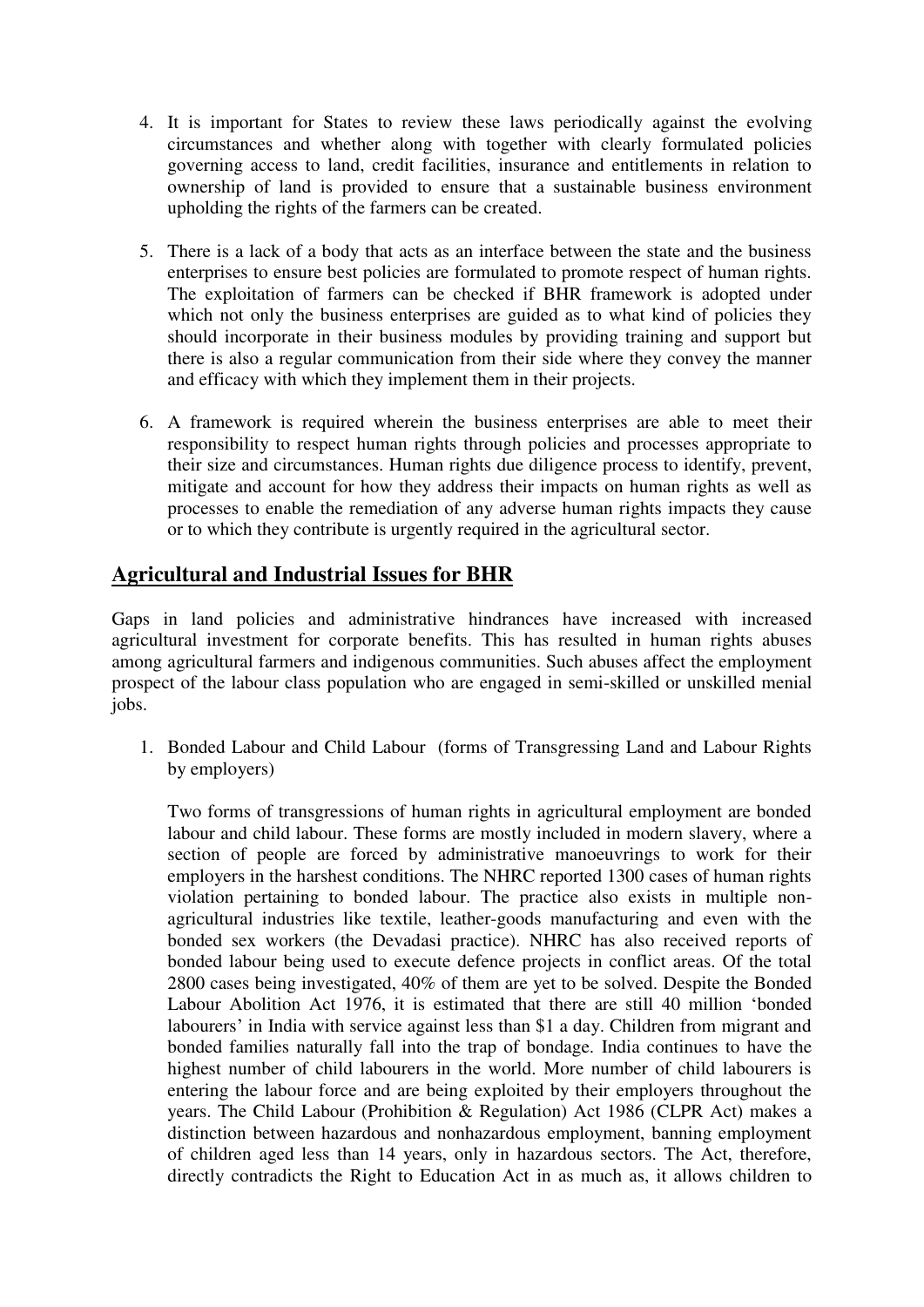- 4. It is important for States to review these laws periodically against the evolving circumstances and whether along with together with clearly formulated policies governing access to land, credit facilities, insurance and entitlements in relation to ownership of land is provided to ensure that a sustainable business environment upholding the rights of the farmers can be created.
- 5. There is a lack of a body that acts as an interface between the state and the business enterprises to ensure best policies are formulated to promote respect of human rights. The exploitation of farmers can be checked if BHR framework is adopted under which not only the business enterprises are guided as to what kind of policies they should incorporate in their business modules by providing training and support but there is also a regular communication from their side where they convey the manner and efficacy with which they implement them in their projects.
- 6. A framework is required wherein the business enterprises are able to meet their responsibility to respect human rights through policies and processes appropriate to their size and circumstances. Human rights due diligence process to identify, prevent, mitigate and account for how they address their impacts on human rights as well as processes to enable the remediation of any adverse human rights impacts they cause or to which they contribute is urgently required in the agricultural sector.

# **Agricultural and Industrial Issues for BHR**

Gaps in land policies and administrative hindrances have increased with increased agricultural investment for corporate benefits. This has resulted in human rights abuses among agricultural farmers and indigenous communities. Such abuses affect the employment prospect of the labour class population who are engaged in semi-skilled or unskilled menial jobs.

1. Bonded Labour and Child Labour (forms of Transgressing Land and Labour Rights by employers)

Two forms of transgressions of human rights in agricultural employment are bonded labour and child labour. These forms are mostly included in modern slavery, where a section of people are forced by administrative manoeuvrings to work for their employers in the harshest conditions. The NHRC reported 1300 cases of human rights violation pertaining to bonded labour. The practice also exists in multiple nonagricultural industries like textile, leather-goods manufacturing and even with the bonded sex workers (the Devadasi practice). NHRC has also received reports of bonded labour being used to execute defence projects in conflict areas. Of the total 2800 cases being investigated, 40% of them are yet to be solved. Despite the Bonded Labour Abolition Act 1976, it is estimated that there are still 40 million 'bonded labourers' in India with service against less than \$1 a day. Children from migrant and bonded families naturally fall into the trap of bondage. India continues to have the highest number of child labourers in the world. More number of child labourers is entering the labour force and are being exploited by their employers throughout the years. The Child Labour (Prohibition & Regulation) Act 1986 (CLPR Act) makes a distinction between hazardous and nonhazardous employment, banning employment of children aged less than 14 years, only in hazardous sectors. The Act, therefore, directly contradicts the Right to Education Act in as much as, it allows children to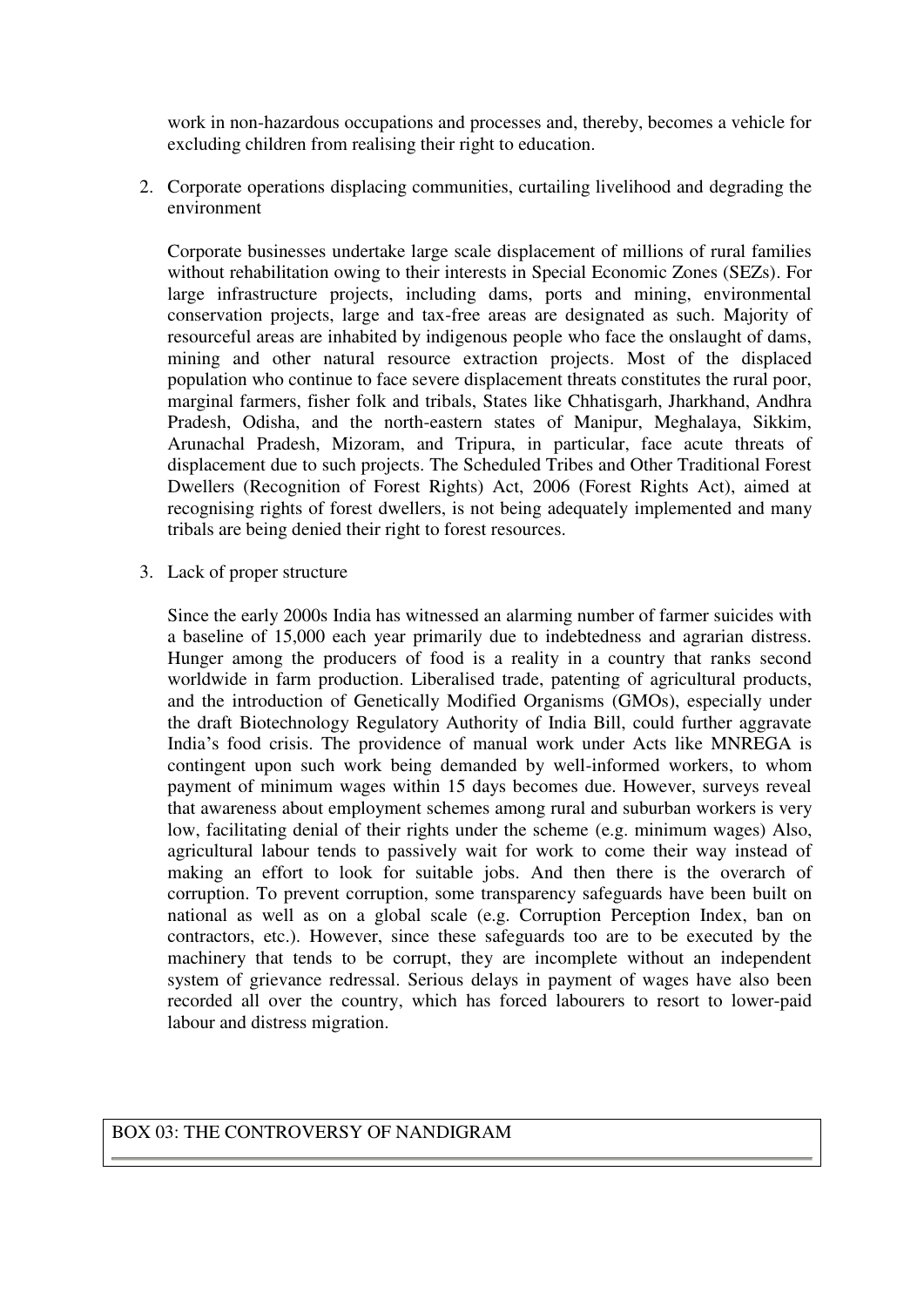work in non-hazardous occupations and processes and, thereby, becomes a vehicle for excluding children from realising their right to education.

2. Corporate operations displacing communities, curtailing livelihood and degrading the environment

Corporate businesses undertake large scale displacement of millions of rural families without rehabilitation owing to their interests in Special Economic Zones (SEZs). For large infrastructure projects, including dams, ports and mining, environmental conservation projects, large and tax-free areas are designated as such. Majority of resourceful areas are inhabited by indigenous people who face the onslaught of dams, mining and other natural resource extraction projects. Most of the displaced population who continue to face severe displacement threats constitutes the rural poor, marginal farmers, fisher folk and tribals, States like Chhatisgarh, Jharkhand, Andhra Pradesh, Odisha, and the north-eastern states of Manipur, Meghalaya, Sikkim, Arunachal Pradesh, Mizoram, and Tripura, in particular, face acute threats of displacement due to such projects. The Scheduled Tribes and Other Traditional Forest Dwellers (Recognition of Forest Rights) Act, 2006 (Forest Rights Act), aimed at recognising rights of forest dwellers, is not being adequately implemented and many tribals are being denied their right to forest resources.

3. Lack of proper structure

Since the early 2000s India has witnessed an alarming number of farmer suicides with a baseline of 15,000 each year primarily due to indebtedness and agrarian distress. Hunger among the producers of food is a reality in a country that ranks second worldwide in farm production. Liberalised trade, patenting of agricultural products, and the introduction of Genetically Modified Organisms (GMOs), especially under the draft Biotechnology Regulatory Authority of India Bill, could further aggravate India's food crisis. The providence of manual work under Acts like MNREGA is contingent upon such work being demanded by well-informed workers, to whom payment of minimum wages within 15 days becomes due. However, surveys reveal that awareness about employment schemes among rural and suburban workers is very low, facilitating denial of their rights under the scheme (e.g. minimum wages) Also, agricultural labour tends to passively wait for work to come their way instead of making an effort to look for suitable jobs. And then there is the overarch of corruption. To prevent corruption, some transparency safeguards have been built on national as well as on a global scale (e.g. Corruption Perception Index, ban on contractors, etc.). However, since these safeguards too are to be executed by the machinery that tends to be corrupt, they are incomplete without an independent system of grievance redressal. Serious delays in payment of wages have also been recorded all over the country, which has forced labourers to resort to lower-paid labour and distress migration.

## BOX 03: THE CONTROVERSY OF NANDIGRAM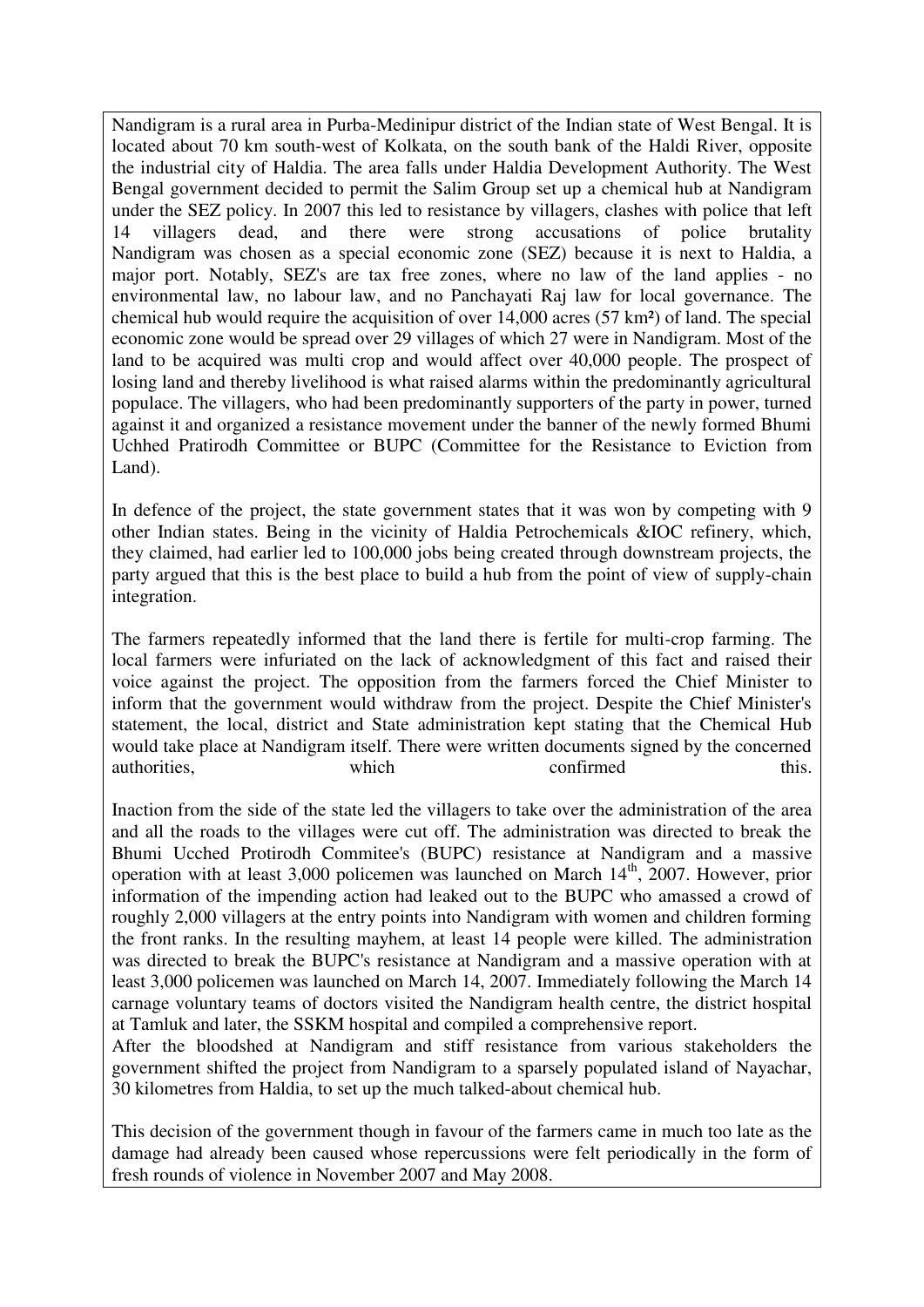Nandigram is a rural area in Purba-Medinipur district of the Indian state of West Bengal. It is located about 70 km south-west of Kolkata, on the south bank of the Haldi River, opposite the industrial city of Haldia. The area falls under Haldia Development Authority. The West Bengal government decided to permit the Salim Group set up a chemical hub at Nandigram under the SEZ policy. In 2007 this led to resistance by villagers, clashes with police that left 14 villagers dead, and there were strong accusations of police brutality Nandigram was chosen as a special economic zone (SEZ) because it is next to Haldia, a major port. Notably, SEZ's are tax free zones, where no law of the land applies - no environmental law, no labour law, and no Panchayati Raj law for local governance. The chemical hub would require the acquisition of over 14,000 acres (57 km²) of land. The special economic zone would be spread over 29 villages of which 27 were in Nandigram. Most of the land to be acquired was multi crop and would affect over 40,000 people. The prospect of losing land and thereby livelihood is what raised alarms within the predominantly agricultural populace. The villagers, who had been predominantly supporters of the party in power, turned against it and organized a resistance movement under the banner of the newly formed Bhumi Uchhed Pratirodh Committee or BUPC (Committee for the Resistance to Eviction from Land).

In defence of the project, the state government states that it was won by competing with 9 other Indian states. Being in the vicinity of Haldia Petrochemicals &IOC refinery, which, they claimed, had earlier led to 100,000 jobs being created through downstream projects, the party argued that this is the best place to build a hub from the point of view of supply-chain integration.

The farmers repeatedly informed that the land there is fertile for multi-crop farming. The local farmers were infuriated on the lack of acknowledgment of this fact and raised their voice against the project. The opposition from the farmers forced the Chief Minister to inform that the government would withdraw from the project. Despite the Chief Minister's statement, the local, district and State administration kept stating that the Chemical Hub would take place at Nandigram itself. There were written documents signed by the concerned authorities, which confirmed this.

Inaction from the side of the state led the villagers to take over the administration of the area and all the roads to the villages were cut off. The administration was directed to break the Bhumi Ucched Protirodh Commitee's (BUPC) resistance at Nandigram and a massive operation with at least  $3,000$  policemen was launched on March  $14<sup>th</sup>$ , 2007. However, prior information of the impending action had leaked out to the BUPC who amassed a crowd of roughly 2,000 villagers at the entry points into Nandigram with women and children forming the front ranks. In the resulting mayhem, at least 14 people were killed. The administration was directed to break the BUPC's resistance at Nandigram and a massive operation with at least 3,000 policemen was launched on March 14, 2007. Immediately following the March 14 carnage voluntary teams of doctors visited the Nandigram health centre, the district hospital at Tamluk and later, the SSKM hospital and compiled a comprehensive report.

After the bloodshed at Nandigram and stiff resistance from various stakeholders the government shifted the project from Nandigram to a sparsely populated island of Nayachar, 30 kilometres from Haldia, to set up the much talked-about chemical hub.

This decision of the government though in favour of the farmers came in much too late as the damage had already been caused whose repercussions were felt periodically in the form of fresh rounds of violence in November 2007 and May 2008.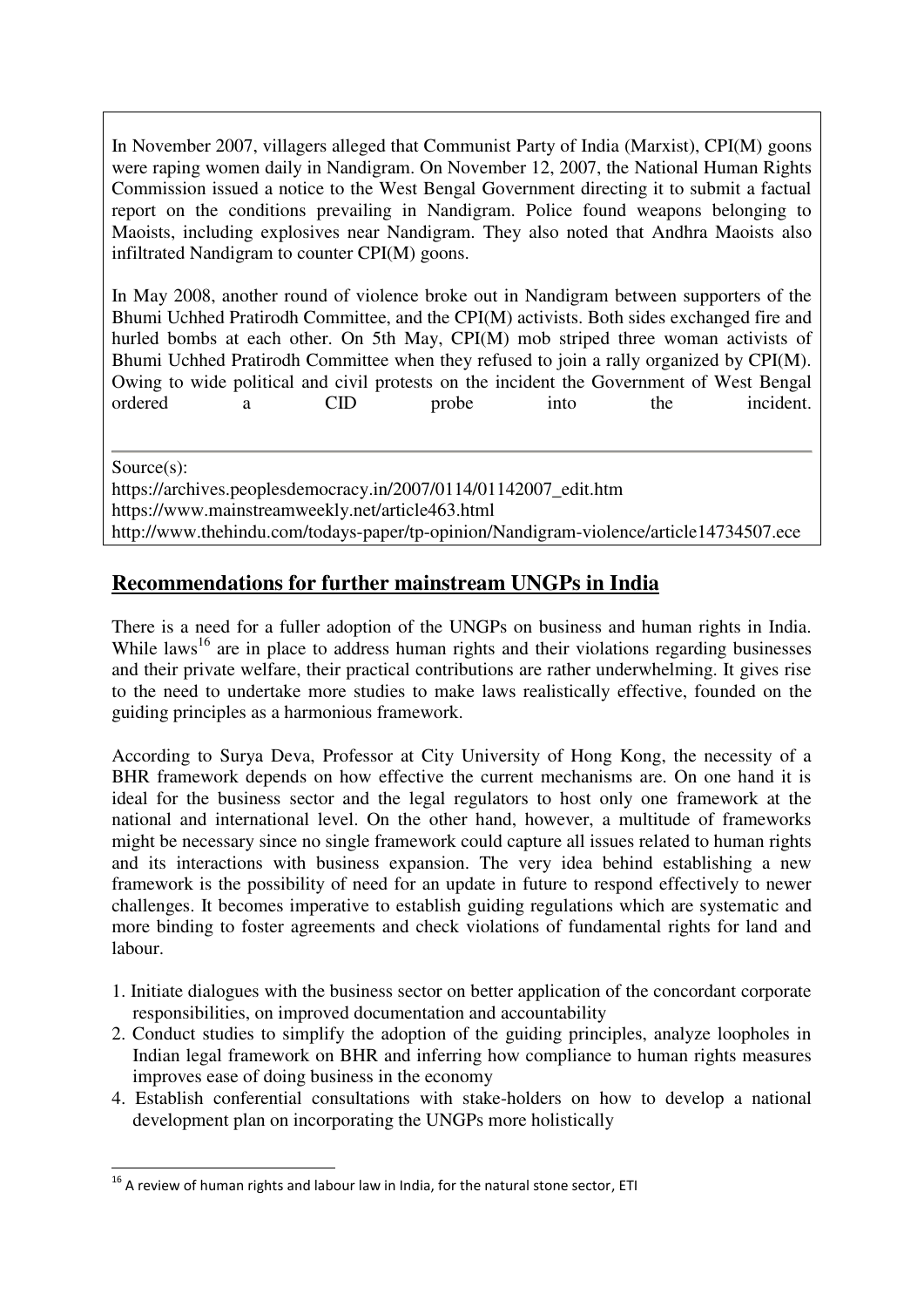In November 2007, villagers alleged that Communist Party of India (Marxist), CPI(M) goons were raping women daily in Nandigram. On November 12, 2007, the National Human Rights Commission issued a notice to the West Bengal Government directing it to submit a factual report on the conditions prevailing in Nandigram. Police found weapons belonging to Maoists, including explosives near Nandigram. They also noted that Andhra Maoists also infiltrated Nandigram to counter CPI(M) goons.

In May 2008, another round of violence broke out in Nandigram between supporters of the Bhumi Uchhed Pratirodh Committee, and the CPI(M) activists. Both sides exchanged fire and hurled bombs at each other. On 5th May, CPI(M) mob striped three woman activists of Bhumi Uchhed Pratirodh Committee when they refused to join a rally organized by CPI(M). Owing to wide political and civil protests on the incident the Government of West Bengal ordered a CID probe into the incident.

Source(s):

https://archives.peoplesdemocracy.in/2007/0114/01142007\_edit.htm https://www.mainstreamweekly.net/article463.html http://www.thehindu.com/todays-paper/tp-opinion/Nandigram-violence/article14734507.ece

# **Recommendations for further mainstream UNGPs in India**

There is a need for a fuller adoption of the UNGPs on business and human rights in India. While laws<sup>16</sup> are in place to address human rights and their violations regarding businesses and their private welfare, their practical contributions are rather underwhelming. It gives rise to the need to undertake more studies to make laws realistically effective, founded on the guiding principles as a harmonious framework.

According to Surya Deva, Professor at City University of Hong Kong, the necessity of a BHR framework depends on how effective the current mechanisms are. On one hand it is ideal for the business sector and the legal regulators to host only one framework at the national and international level. On the other hand, however, a multitude of frameworks might be necessary since no single framework could capture all issues related to human rights and its interactions with business expansion. The very idea behind establishing a new framework is the possibility of need for an update in future to respond effectively to newer challenges. It becomes imperative to establish guiding regulations which are systematic and more binding to foster agreements and check violations of fundamental rights for land and labour.

- 1. Initiate dialogues with the business sector on better application of the concordant corporate responsibilities, on improved documentation and accountability
- 2. Conduct studies to simplify the adoption of the guiding principles, analyze loopholes in Indian legal framework on BHR and inferring how compliance to human rights measures improves ease of doing business in the economy
- 4. Establish conferential consultations with stake-holders on how to develop a national development plan on incorporating the UNGPs more holistically

<sup>-</sup> $16$  A review of human rights and labour law in India, for the natural stone sector, ETI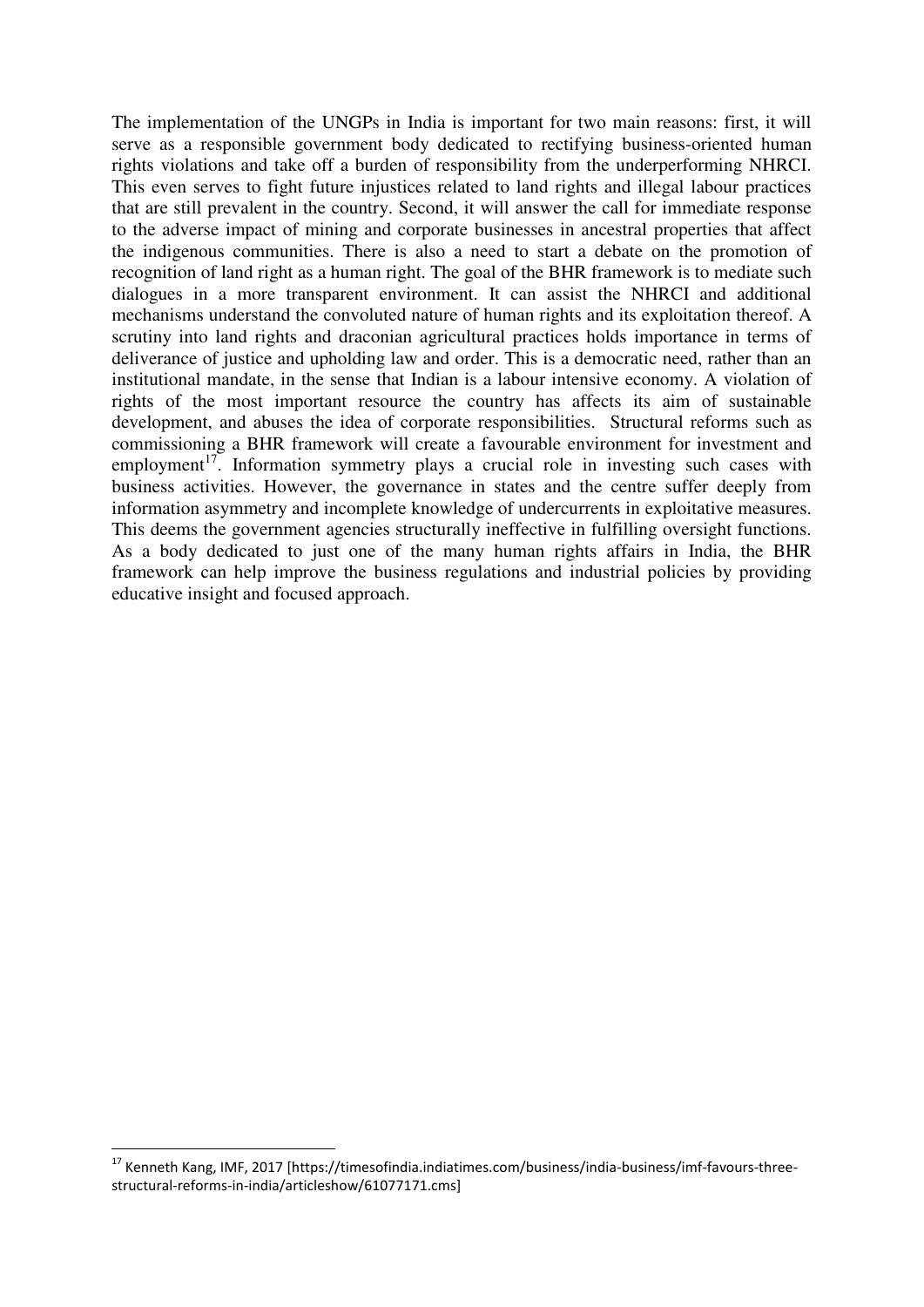The implementation of the UNGPs in India is important for two main reasons: first, it will serve as a responsible government body dedicated to rectifying business-oriented human rights violations and take off a burden of responsibility from the underperforming NHRCI. This even serves to fight future injustices related to land rights and illegal labour practices that are still prevalent in the country. Second, it will answer the call for immediate response to the adverse impact of mining and corporate businesses in ancestral properties that affect the indigenous communities. There is also a need to start a debate on the promotion of recognition of land right as a human right. The goal of the BHR framework is to mediate such dialogues in a more transparent environment. It can assist the NHRCI and additional mechanisms understand the convoluted nature of human rights and its exploitation thereof. A scrutiny into land rights and draconian agricultural practices holds importance in terms of deliverance of justice and upholding law and order. This is a democratic need, rather than an institutional mandate, in the sense that Indian is a labour intensive economy. A violation of rights of the most important resource the country has affects its aim of sustainable development, and abuses the idea of corporate responsibilities. Structural reforms such as commissioning a BHR framework will create a favourable environment for investment and employment<sup>17</sup>. Information symmetry plays a crucial role in investing such cases with business activities. However, the governance in states and the centre suffer deeply from information asymmetry and incomplete knowledge of undercurrents in exploitative measures. This deems the government agencies structurally ineffective in fulfilling oversight functions. As a body dedicated to just one of the many human rights affairs in India, the BHR framework can help improve the business regulations and industrial policies by providing educative insight and focused approach.

-

<sup>17</sup> Kenneth Kang, IMF, 2017 [https://timesofindia.indiatimes.com/business/india-business/imf-favours-threestructural-reforms-in-india/articleshow/61077171.cms]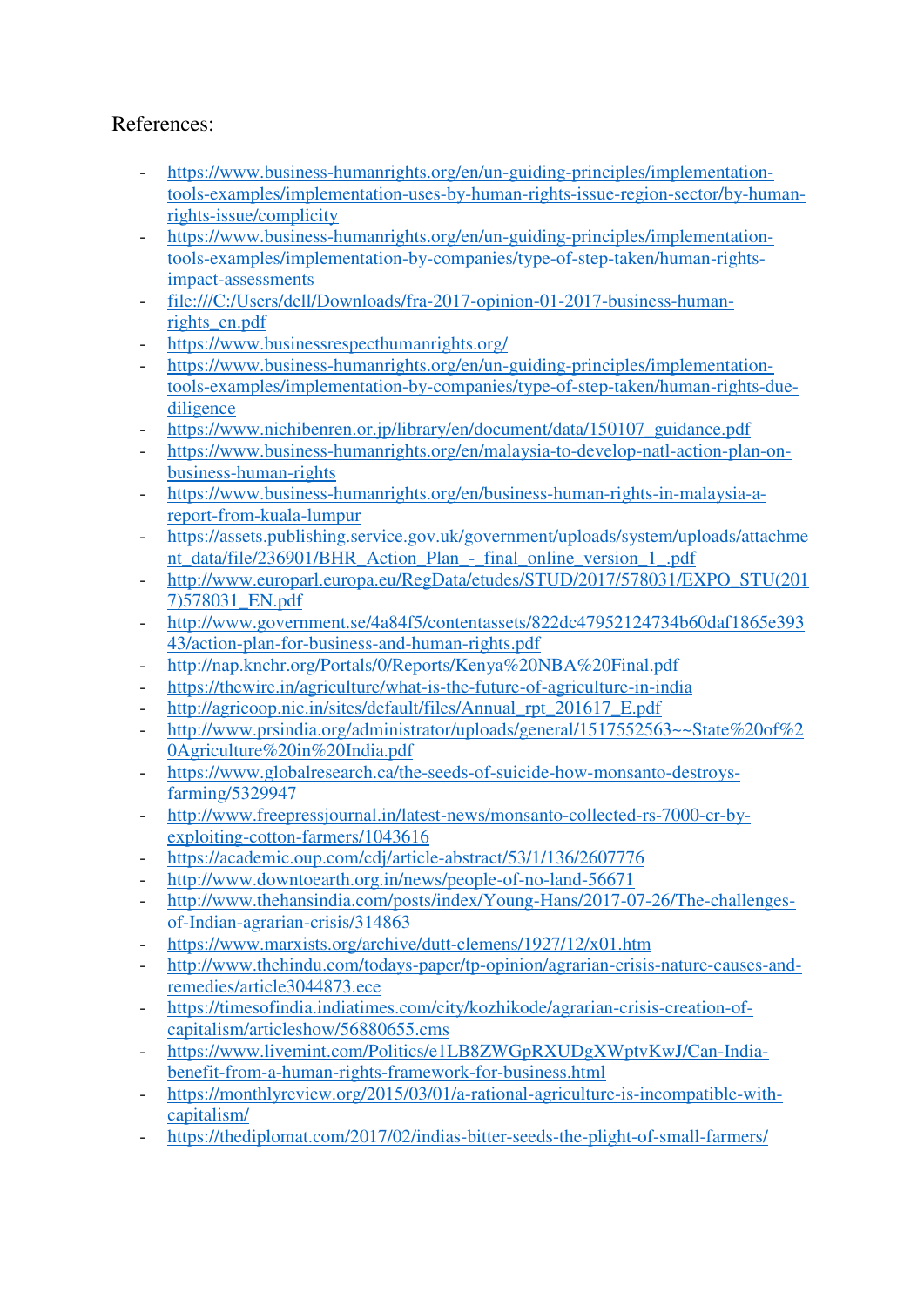# References:

- https://www.business-humanrights.org/en/un-guiding-principles/implementationtools-examples/implementation-uses-by-human-rights-issue-region-sector/by-humanrights-issue/complicity
- https://www.business-humanrights.org/en/un-guiding-principles/implementationtools-examples/implementation-by-companies/type-of-step-taken/human-rightsimpact-assessments
- file:///C:/Users/dell/Downloads/fra-2017-opinion-01-2017-business-humanrights\_en.pdf
- https://www.businessrespecthumanrights.org/
- https://www.business-humanrights.org/en/un-guiding-principles/implementationtools-examples/implementation-by-companies/type-of-step-taken/human-rights-duediligence
- https://www.nichibenren.or.jp/library/en/document/data/150107 guidance.pdf
- https://www.business-humanrights.org/en/malaysia-to-develop-natl-action-plan-onbusiness-human-rights
- https://www.business-humanrights.org/en/business-human-rights-in-malaysia-areport-from-kuala-lumpur
- https://assets.publishing.service.gov.uk/government/uploads/system/uploads/attachme nt\_data/file/236901/BHR\_Action\_Plan\_-\_final\_online\_version\_1\_.pdf
- http://www.europarl.europa.eu/RegData/etudes/STUD/2017/578031/EXPO\_STU(201 7)578031\_EN.pdf
- http://www.government.se/4a84f5/contentassets/822dc47952124734b60daf1865e393 43/action-plan-for-business-and-human-rights.pdf
- http://nap.knchr.org/Portals/0/Reports/Kenya%20NBA%20Final.pdf
- https://thewire.in/agriculture/what-is-the-future-of-agriculture-in-india
- http://agricoop.nic.in/sites/default/files/Annual\_rpt\_201617\_E.pdf
- http://www.prsindia.org/administrator/uploads/general/1517552563~~State%20of%2 0Agriculture%20in%20India.pdf
- https://www.globalresearch.ca/the-seeds-of-suicide-how-monsanto-destroysfarming/5329947
- http://www.freepressjournal.in/latest-news/monsanto-collected-rs-7000-cr-byexploiting-cotton-farmers/1043616
- https://academic.oup.com/cdj/article-abstract/53/1/136/2607776
- http://www.downtoearth.org.in/news/people-of-no-land-56671
- http://www.thehansindia.com/posts/index/Young-Hans/2017-07-26/The-challengesof-Indian-agrarian-crisis/314863
- https://www.marxists.org/archive/dutt-clemens/1927/12/x01.htm
- http://www.thehindu.com/todays-paper/tp-opinion/agrarian-crisis-nature-causes-andremedies/article3044873.ece
- https://timesofindia.indiatimes.com/city/kozhikode/agrarian-crisis-creation-ofcapitalism/articleshow/56880655.cms
- https://www.livemint.com/Politics/e1LB8ZWGpRXUDgXWptvKwJ/Can-Indiabenefit-from-a-human-rights-framework-for-business.html
- https://monthlyreview.org/2015/03/01/a-rational-agriculture-is-incompatible-withcapitalism/
- https://thediplomat.com/2017/02/indias-bitter-seeds-the-plight-of-small-farmers/